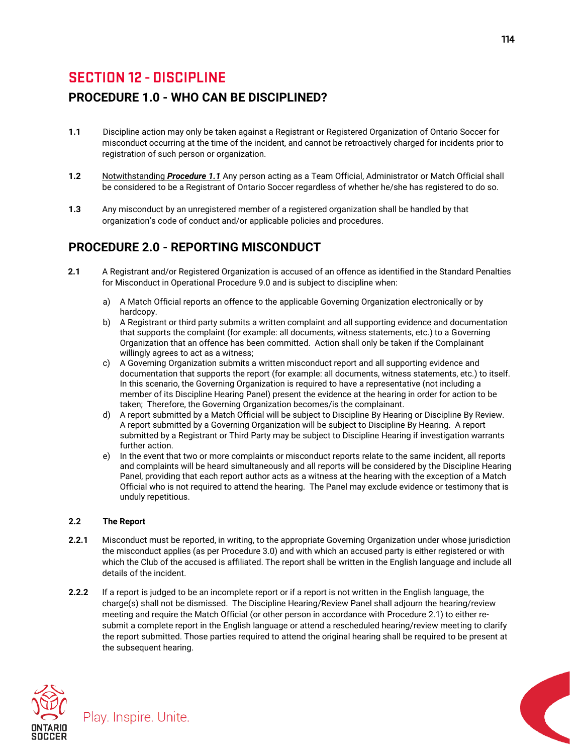# **SECTION 12 - DISCIPLINE**

## **PROCEDURE 1.0 - WHO CAN BE DISCIPLINED?**

- **1.1** Discipline action may only be taken against a Registrant or Registered Organization of Ontario Soccer for misconduct occurring at the time of the incident, and cannot be retroactively charged for incidents prior to registration of such person or organization.
- **1.2** Notwithstanding *Procedure 1.1* Any person acting as a Team Official, Administrator or Match Official shall be considered to be a Registrant of Ontario Soccer regardless of whether he/she has registered to do so.
- **1.3** Any misconduct by an unregistered member of a registered organization shall be handled by that organization's code of conduct and/or applicable policies and procedures.

## **PROCEDURE 2.0 - REPORTING MISCONDUCT**

- **2.1** A Registrant and/or Registered Organization is accused of an offence as identified in the Standard Penalties for Misconduct in Operational Procedure 9.0 and is subject to discipline when:
	- a) A Match Official reports an offence to the applicable Governing Organization electronically or by hardcopy.
	- b) A Registrant or third party submits a written complaint and all supporting evidence and documentation that supports the complaint (for example: all documents, witness statements, etc.) to a Governing Organization that an offence has been committed. Action shall only be taken if the Complainant willingly agrees to act as a witness;
	- c) A Governing Organization submits a written misconduct report and all supporting evidence and documentation that supports the report (for example: all documents, witness statements, etc.) to itself. In this scenario, the Governing Organization is required to have a representative (not including a member of its Discipline Hearing Panel) present the evidence at the hearing in order for action to be taken; Therefore, the Governing Organization becomes/is the complainant.
	- d) A report submitted by a Match Official will be subject to Discipline By Hearing or Discipline By Review. A report submitted by a Governing Organization will be subject to Discipline By Hearing. A report submitted by a Registrant or Third Party may be subject to Discipline Hearing if investigation warrants further action.
	- e) In the event that two or more complaints or misconduct reports relate to the same incident, all reports and complaints will be heard simultaneously and all reports will be considered by the Discipline Hearing Panel, providing that each report author acts as a witness at the hearing with the exception of a Match Official who is not required to attend the hearing. The Panel may exclude evidence or testimony that is unduly repetitious.

## **2.2 The Report**

- **2.2.1** Misconduct must be reported, in writing, to the appropriate Governing Organization under whose jurisdiction the misconduct applies (as per Procedure 3.0) and with which an accused party is either registered or with which the Club of the accused is affiliated. The report shall be written in the English language and include all details of the incident.
- **2.2.2** If a report is judged to be an incomplete report or if a report is not written in the English language, the charge(s) shall not be dismissed. The Discipline Hearing/Review Panel shall adjourn the hearing/review meeting and require the Match Official (or other person in accordance with Procedure 2.1) to either resubmit a complete report in the English language or attend a rescheduled hearing/review meeting to clarify the report submitted. Those parties required to attend the original hearing shall be required to be present at the subsequent hearing.



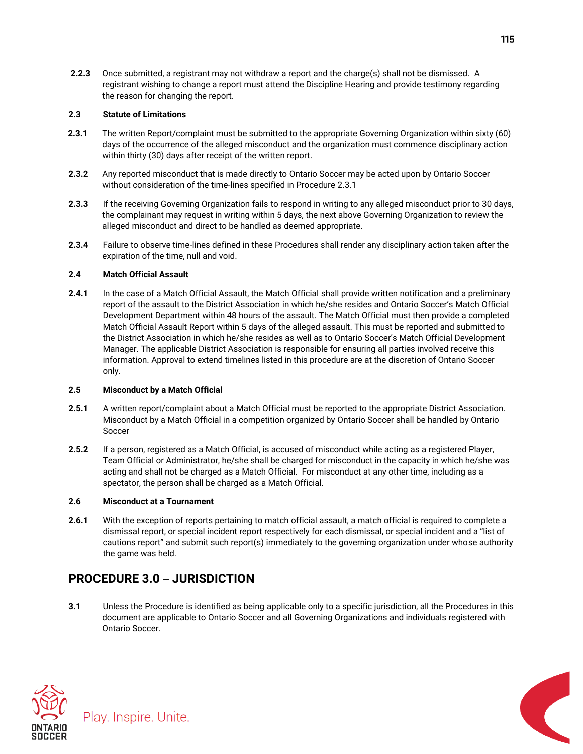**2.2.3** Once submitted, a registrant may not withdraw a report and the charge(s) shall not be dismissed. A registrant wishing to change a report must attend the Discipline Hearing and provide testimony regarding the reason for changing the report.

### **2.3 Statute of Limitations**

- **2.3.1** The written Report/complaint must be submitted to the appropriate Governing Organization within sixty (60) days of the occurrence of the alleged misconduct and the organization must commence disciplinary action within thirty (30) days after receipt of the written report.
- **2.3.2** Any reported misconduct that is made directly to Ontario Soccer may be acted upon by Ontario Soccer without consideration of the time-lines specified in Procedure 2.3.1
- **2.3.3** If the receiving Governing Organization fails to respond in writing to any alleged misconduct prior to 30 days, the complainant may request in writing within 5 days, the next above Governing Organization to review the alleged misconduct and direct to be handled as deemed appropriate.
- **2.3.4** Failure to observe time-lines defined in these Procedures shall render any disciplinary action taken after the expiration of the time, null and void.

## **2.4 Match Official Assault**

**2.4.1** In the case of a Match Official Assault, the Match Official shall provide written notification and a preliminary report of the assault to the District Association in which he/she resides and Ontario Soccer's Match Official Development Department within 48 hours of the assault. The Match Official must then provide a completed Match Official Assault Report within 5 days of the alleged assault. This must be reported and submitted to the District Association in which he/she resides as well as to Ontario Soccer's Match Official Development Manager. The applicable District Association is responsible for ensuring all parties involved receive this information. Approval to extend timelines listed in this procedure are at the discretion of Ontario Soccer only.

## **2.5 Misconduct by a Match Official**

- **2.5.1** A written report/complaint about a Match Official must be reported to the appropriate District Association. Misconduct by a Match Official in a competition organized by Ontario Soccer shall be handled by Ontario Soccer
- **2.5.2** If a person, registered as a Match Official, is accused of misconduct while acting as a registered Player, Team Official or Administrator, he/she shall be charged for misconduct in the capacity in which he/she was acting and shall not be charged as a Match Official. For misconduct at any other time, including as a spectator, the person shall be charged as a Match Official.

## **2.6 Misconduct at a Tournament**

**2.6.1** With the exception of reports pertaining to match official assault, a match official is required to complete a dismissal report, or special incident report respectively for each dismissal, or special incident and a "list of cautions report" and submit such report(s) immediately to the governing organization under whose authority the game was held.

## **PROCEDURE 3.0** – **JURISDICTION**

**3.1** Unless the Procedure is identified as being applicable only to a specific jurisdiction, all the Procedures in this document are applicable to Ontario Soccer and all Governing Organizations and individuals registered with Ontario Soccer.



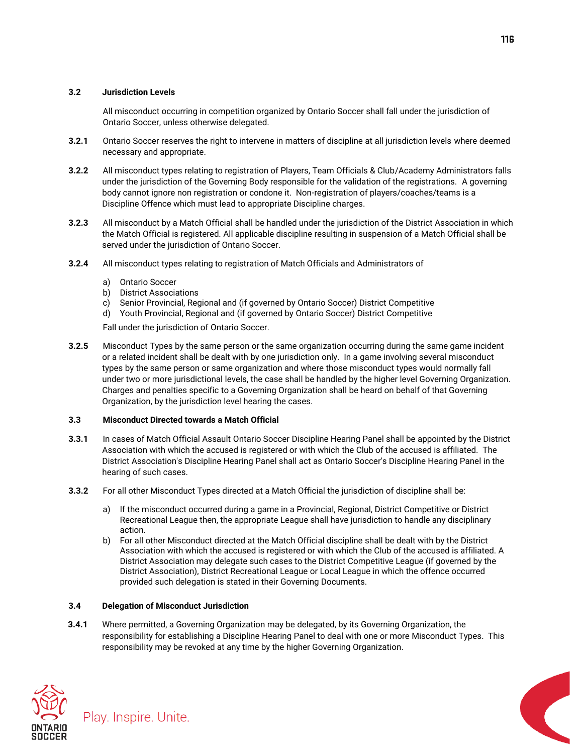### **3.2 Jurisdiction Levels**

All misconduct occurring in competition organized by Ontario Soccer shall fall under the jurisdiction of Ontario Soccer, unless otherwise delegated.

- **3.2.1** Ontario Soccer reserves the right to intervene in matters of discipline at all jurisdiction levels where deemed necessary and appropriate.
- **3.2.2** All misconduct types relating to registration of Players, Team Officials & Club/Academy Administrators falls under the jurisdiction of the Governing Body responsible for the validation of the registrations. A governing body cannot ignore non registration or condone it. Non-registration of players/coaches/teams is a Discipline Offence which must lead to appropriate Discipline charges.
- **3.2.3** All misconduct by a Match Official shall be handled under the jurisdiction of the District Association in which the Match Official is registered. All applicable discipline resulting in suspension of a Match Official shall be served under the jurisdiction of Ontario Soccer.
- **3.2.4** All misconduct types relating to registration of Match Officials and Administrators of
	- a) Ontario Soccer
	- b) District Associations
	- c) Senior Provincial, Regional and (if governed by Ontario Soccer) District Competitive
	- d) Youth Provincial, Regional and (if governed by Ontario Soccer) District Competitive
	- Fall under the jurisdiction of Ontario Soccer.
- **3.2.5** Misconduct Types by the same person or the same organization occurring during the same game incident or a related incident shall be dealt with by one jurisdiction only. In a game involving several misconduct types by the same person or same organization and where those misconduct types would normally fall under two or more jurisdictional levels, the case shall be handled by the higher level Governing Organization. Charges and penalties specific to a Governing Organization shall be heard on behalf of that Governing Organization, by the jurisdiction level hearing the cases.

#### **3.3 Misconduct Directed towards a Match Official**

- **3.3.1** In cases of Match Official Assault Ontario Soccer Discipline Hearing Panel shall be appointed by the District Association with which the accused is registered or with which the Club of the accused is affiliated. The District Association's Discipline Hearing Panel shall act as Ontario Soccer's Discipline Hearing Panel in the hearing of such cases.
- **3.3.2** For all other Misconduct Types directed at a Match Official the jurisdiction of discipline shall be:
	- a) If the misconduct occurred during a game in a Provincial, Regional, District Competitive or District Recreational League then, the appropriate League shall have jurisdiction to handle any disciplinary action.
	- b) For all other Misconduct directed at the Match Official discipline shall be dealt with by the District Association with which the accused is registered or with which the Club of the accused is affiliated. A District Association may delegate such cases to the District Competitive League (if governed by the District Association), District Recreational League or Local League in which the offence occurred provided such delegation is stated in their Governing Documents.

#### **3.4 Delegation of Misconduct Jurisdiction**

**3.4.1** Where permitted, a Governing Organization may be delegated, by its Governing Organization, the responsibility for establishing a Discipline Hearing Panel to deal with one or more Misconduct Types. This responsibility may be revoked at any time by the higher Governing Organization.



Play. Inspire. Unite.

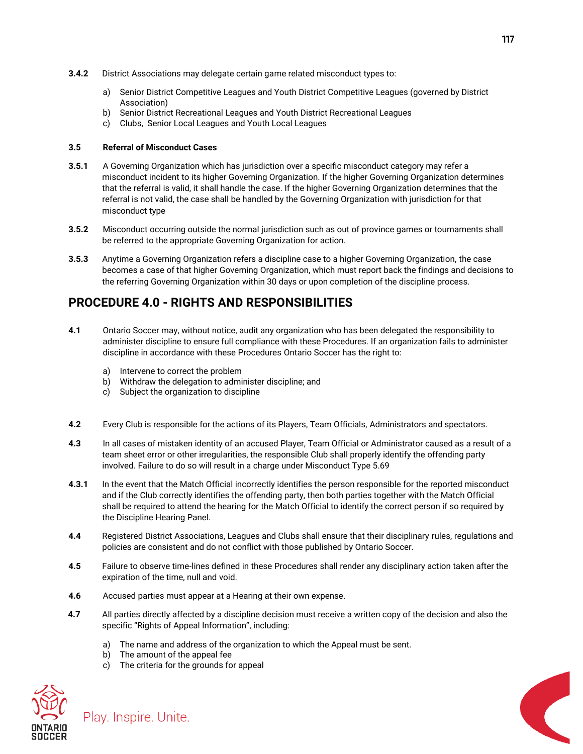- **3.4.2** District Associations may delegate certain game related misconduct types to:
	- a) Senior District Competitive Leagues and Youth District Competitive Leagues (governed by District Association)
	- b) Senior District Recreational Leagues and Youth District Recreational Leagues
	- c) Clubs, Senior Local Leagues and Youth Local Leagues

### **3.5 Referral of Misconduct Cases**

- **3.5.1** A Governing Organization which has jurisdiction over a specific misconduct category may refer a misconduct incident to its higher Governing Organization. If the higher Governing Organization determines that the referral is valid, it shall handle the case. If the higher Governing Organization determines that the referral is not valid, the case shall be handled by the Governing Organization with jurisdiction for that misconduct type
- **3.5.2** Misconduct occurring outside the normal jurisdiction such as out of province games or tournaments shall be referred to the appropriate Governing Organization for action.
- **3.5.3** Anytime a Governing Organization refers a discipline case to a higher Governing Organization, the case becomes a case of that higher Governing Organization, which must report back the findings and decisions to the referring Governing Organization within 30 days or upon completion of the discipline process.

## **PROCEDURE 4.0 - RIGHTS AND RESPONSIBILITIES**

- **4.1** Ontario Soccer may, without notice, audit any organization who has been delegated the responsibility to administer discipline to ensure full compliance with these Procedures. If an organization fails to administer discipline in accordance with these Procedures Ontario Soccer has the right to:
	- a) Intervene to correct the problem
	- b) Withdraw the delegation to administer discipline; and
	- c) Subject the organization to discipline
- **4.2** Every Club is responsible for the actions of its Players, Team Officials, Administrators and spectators.
- **4.3** In all cases of mistaken identity of an accused Player, Team Official or Administrator caused as a result of a team sheet error or other irregularities, the responsible Club shall properly identify the offending party involved. Failure to do so will result in a charge under Misconduct Type 5.69
- **4.3.1** In the event that the Match Official incorrectly identifies the person responsible for the reported misconduct and if the Club correctly identifies the offending party, then both parties together with the Match Official shall be required to attend the hearing for the Match Official to identify the correct person if so required by the Discipline Hearing Panel.
- **4.4** Registered District Associations, Leagues and Clubs shall ensure that their disciplinary rules, regulations and policies are consistent and do not conflict with those published by Ontario Soccer.
- **4.5** Failure to observe time-lines defined in these Procedures shall render any disciplinary action taken after the expiration of the time, null and void.
- **4.6** Accused parties must appear at a Hearing at their own expense.
- **4.7** All parties directly affected by a discipline decision must receive a written copy of the decision and also the specific "Rights of Appeal Information", including:
	- a) The name and address of the organization to which the Appeal must be sent.
	- b) The amount of the appeal fee

Play. Inspire. Unite.

c) The criteria for the grounds for appeal



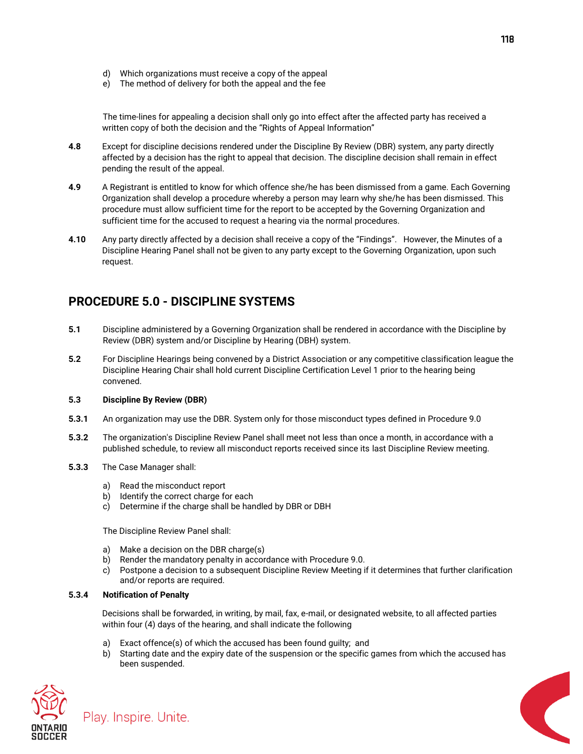- d) Which organizations must receive a copy of the appeal
- e) The method of delivery for both the appeal and the fee

The time-lines for appealing a decision shall only go into effect after the affected party has received a written copy of both the decision and the "Rights of Appeal Information"

- **4.8** Except for discipline decisions rendered under the Discipline By Review (DBR) system, any party directly affected by a decision has the right to appeal that decision. The discipline decision shall remain in effect pending the result of the appeal.
- **4.9** A Registrant is entitled to know for which offence she/he has been dismissed from a game. Each Governing Organization shall develop a procedure whereby a person may learn why she/he has been dismissed. This procedure must allow sufficient time for the report to be accepted by the Governing Organization and sufficient time for the accused to request a hearing via the normal procedures.
- **4.10** Any party directly affected by a decision shall receive a copy of the "Findings". However, the Minutes of a Discipline Hearing Panel shall not be given to any party except to the Governing Organization, upon such request.

## **PROCEDURE 5.0 - DISCIPLINE SYSTEMS**

- **5.1** Discipline administered by a Governing Organization shall be rendered in accordance with the Discipline by Review (DBR) system and/or Discipline by Hearing (DBH) system.
- **5.2** For Discipline Hearings being convened by a District Association or any competitive classification league the Discipline Hearing Chair shall hold current Discipline Certification Level 1 prior to the hearing being convened.

#### **5.3 Discipline By Review (DBR)**

- **5.3.1** An organization may use the DBR. System only for those misconduct types defined in Procedure 9.0
- **5.3.2** The organization's Discipline Review Panel shall meet not less than once a month, in accordance with a published schedule, to review all misconduct reports received since its last Discipline Review meeting.
- **5.3.3** The Case Manager shall:
	- a) Read the misconduct report
	- b) Identify the correct charge for each
	- c) Determine if the charge shall be handled by DBR or DBH

The Discipline Review Panel shall:

- a) Make a decision on the DBR charge(s)
- b) Render the mandatory penalty in accordance with Procedure 9.0.
- c) Postpone a decision to a subsequent Discipline Review Meeting if it determines that further clarification and/or reports are required.

#### **5.3.4 Notification of Penalty**

Play. Inspire. Unite.

Decisions shall be forwarded, in writing, by mail, fax, e-mail, or designated website, to all affected parties within four (4) days of the hearing, and shall indicate the following

- a) Exact offence(s) of which the accused has been found guilty; and
- b) Starting date and the expiry date of the suspension or the specific games from which the accused has been suspended.



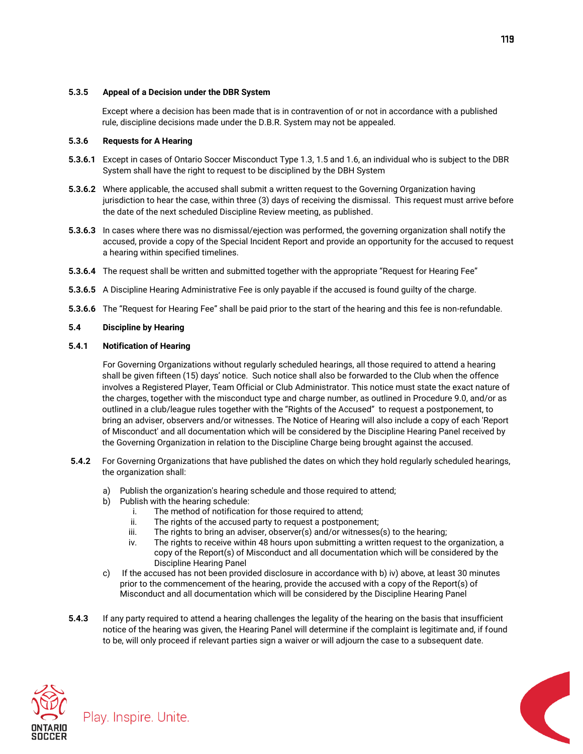#### **5.3.5 Appeal of a Decision under the DBR System**

Except where a decision has been made that is in contravention of or not in accordance with a published rule, discipline decisions made under the D.B.R. System may not be appealed.

### **5.3.6 Requests for A Hearing**

- **5.3.6.1** Except in cases of Ontario Soccer Misconduct Type 1.3, 1.5 and 1.6, an individual who is subject to the DBR System shall have the right to request to be disciplined by the DBH System
- **5.3.6.2** Where applicable, the accused shall submit a written request to the Governing Organization having jurisdiction to hear the case, within three (3) days of receiving the dismissal. This request must arrive before the date of the next scheduled Discipline Review meeting, as published.
- **5.3.6.3** In cases where there was no dismissal/ejection was performed, the governing organization shall notify the accused, provide a copy of the Special Incident Report and provide an opportunity for the accused to request a hearing within specified timelines.
- **5.3.6.4** The request shall be written and submitted together with the appropriate "Request for Hearing Fee"
- **5.3.6.5** A Discipline Hearing Administrative Fee is only payable if the accused is found guilty of the charge.
- **5.3.6.6** The "Request for Hearing Fee" shall be paid prior to the start of the hearing and this fee is non-refundable.

### **5.4 Discipline by Hearing**

#### **5.4.1 Notification of Hearing**

For Governing Organizations without regularly scheduled hearings, all those required to attend a hearing shall be given fifteen (15) days' notice. Such notice shall also be forwarded to the Club when the offence involves a Registered Player, Team Official or Club Administrator. This notice must state the exact nature of the charges, together with the misconduct type and charge number, as outlined in Procedure 9.0, and/or as outlined in a club/league rules together with the "Rights of the Accused" to request a postponement, to bring an adviser, observers and/or witnesses. The Notice of Hearing will also include a copy of each 'Report of Misconduct' and all documentation which will be considered by the Discipline Hearing Panel received by the Governing Organization in relation to the Discipline Charge being brought against the accused.

- **5.4.2** For Governing Organizations that have published the dates on which they hold regularly scheduled hearings, the organization shall:
	- a) Publish the organization's hearing schedule and those required to attend;
	- b) Publish with the hearing schedule:
		- i. The method of notification for those required to attend;
		- ii. The rights of the accused party to request a postponement;
		- iii. The rights to bring an adviser, observer(s) and/or witnesses(s) to the hearing;
		- iv. The rights to receive within 48 hours upon submitting a written request to the organization, a copy of the Report(s) of Misconduct and all documentation which will be considered by the Discipline Hearing Panel
	- c) If the accused has not been provided disclosure in accordance with b) iv) above, at least 30 minutes prior to the commencement of the hearing, provide the accused with a copy of the Report(s) of Misconduct and all documentation which will be considered by the Discipline Hearing Panel
- **5.4.3** If any party required to attend a hearing challenges the legality of the hearing on the basis that insufficient notice of the hearing was given, the Hearing Panel will determine if the complaint is legitimate and, if found to be, will only proceed if relevant parties sign a waiver or will adjourn the case to a subsequent date.





119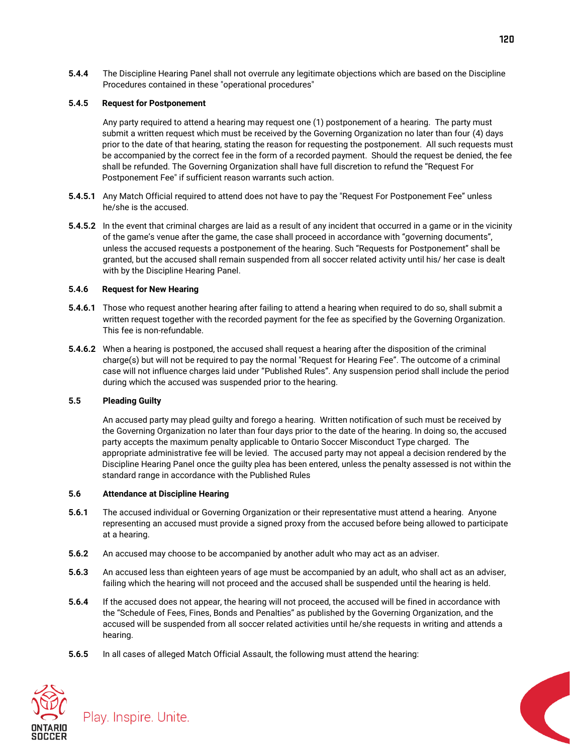**5.4.4** The Discipline Hearing Panel shall not overrule any legitimate objections which are based on the Discipline Procedures contained in these "operational procedures"

#### **5.4.5 Request for Postponement**

Any party required to attend a hearing may request one (1) postponement of a hearing. The party must submit a written request which must be received by the Governing Organization no later than four (4) days prior to the date of that hearing, stating the reason for requesting the postponement. All such requests must be accompanied by the correct fee in the form of a recorded payment. Should the request be denied, the fee shall be refunded. The Governing Organization shall have full discretion to refund the "Request For Postponement Fee" if sufficient reason warrants such action.

- **5.4.5.1** Any Match Official required to attend does not have to pay the "Request For Postponement Fee" unless he/she is the accused.
- **5.4.5.2** In the event that criminal charges are laid as a result of any incident that occurred in a game or in the vicinity of the game's venue after the game, the case shall proceed in accordance with "governing documents", unless the accused requests a postponement of the hearing. Such "Requests for Postponement" shall be granted, but the accused shall remain suspended from all soccer related activity until his/ her case is dealt with by the Discipline Hearing Panel.

### **5.4.6 Request for New Hearing**

- **5.4.6.1** Those who request another hearing after failing to attend a hearing when required to do so, shall submit a written request together with the recorded payment for the fee as specified by the Governing Organization. This fee is non-refundable.
- **5.4.6.2** When a hearing is postponed, the accused shall request a hearing after the disposition of the criminal charge(s) but will not be required to pay the normal "Request for Hearing Fee". The outcome of a criminal case will not influence charges laid under "Published Rules". Any suspension period shall include the period during which the accused was suspended prior to the hearing.

#### **5.5 Pleading Guilty**

An accused party may plead guilty and forego a hearing. Written notification of such must be received by the Governing Organization no later than four days prior to the date of the hearing. In doing so, the accused party accepts the maximum penalty applicable to Ontario Soccer Misconduct Type charged. The appropriate administrative fee will be levied. The accused party may not appeal a decision rendered by the Discipline Hearing Panel once the guilty plea has been entered, unless the penalty assessed is not within the standard range in accordance with the Published Rules

#### **5.6 Attendance at Discipline Hearing**

- **5.6.1** The accused individual or Governing Organization or their representative must attend a hearing. Anyone representing an accused must provide a signed proxy from the accused before being allowed to participate at a hearing.
- **5.6.2** An accused may choose to be accompanied by another adult who may act as an adviser.
- **5.6.3** An accused less than eighteen years of age must be accompanied by an adult, who shall act as an adviser, failing which the hearing will not proceed and the accused shall be suspended until the hearing is held.
- **5.6.4** If the accused does not appear, the hearing will not proceed, the accused will be fined in accordance with the "Schedule of Fees, Fines, Bonds and Penalties" as published by the Governing Organization, and the accused will be suspended from all soccer related activities until he/she requests in writing and attends a hearing.
- **5.6.5** In all cases of alleged Match Official Assault, the following must attend the hearing:



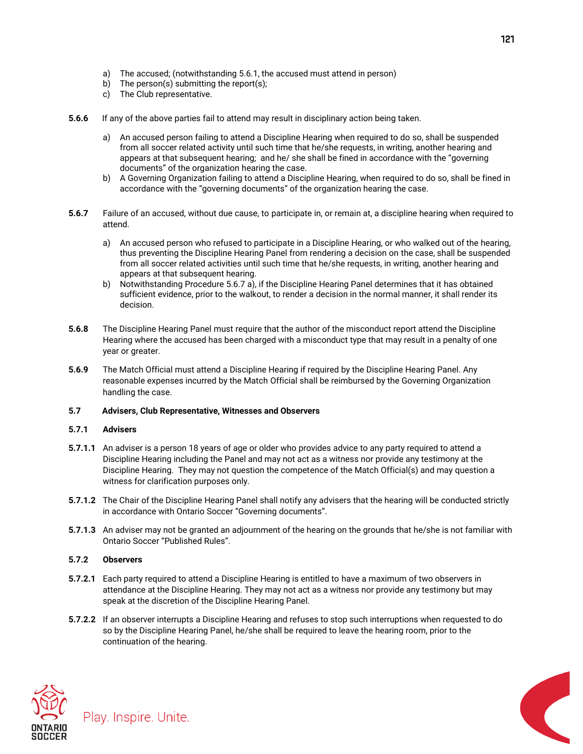- a) The accused; (notwithstanding 5.6.1, the accused must attend in person)
- b) The person(s) submitting the report(s);
- c) The Club representative.
- **5.6.6** If any of the above parties fail to attend may result in disciplinary action being taken.
	- a) An accused person failing to attend a Discipline Hearing when required to do so, shall be suspended from all soccer related activity until such time that he/she requests, in writing, another hearing and appears at that subsequent hearing; and he/ she shall be fined in accordance with the "governing documents" of the organization hearing the case.
	- b) A Governing Organization failing to attend a Discipline Hearing, when required to do so, shall be fined in accordance with the "governing documents" of the organization hearing the case.
- **5.6.7** Failure of an accused, without due cause, to participate in, or remain at, a discipline hearing when required to attend.
	- a) An accused person who refused to participate in a Discipline Hearing, or who walked out of the hearing, thus preventing the Discipline Hearing Panel from rendering a decision on the case, shall be suspended from all soccer related activities until such time that he/she requests, in writing, another hearing and appears at that subsequent hearing.
	- b) Notwithstanding Procedure 5.6.7 a), if the Discipline Hearing Panel determines that it has obtained sufficient evidence, prior to the walkout, to render a decision in the normal manner, it shall render its decision.
- **5.6.8** The Discipline Hearing Panel must require that the author of the misconduct report attend the Discipline Hearing where the accused has been charged with a misconduct type that may result in a penalty of one year or greater.
- **5.6.9** The Match Official must attend a Discipline Hearing if required by the Discipline Hearing Panel. Any reasonable expenses incurred by the Match Official shall be reimbursed by the Governing Organization handling the case.

#### **5.7 Advisers, Club Representative, Witnesses and Observers**

#### **5.7.1 Advisers**

- **5.7.1.1** An adviser is a person 18 years of age or older who provides advice to any party required to attend a Discipline Hearing including the Panel and may not act as a witness nor provide any testimony at the Discipline Hearing. They may not question the competence of the Match Official(s) and may question a witness for clarification purposes only.
- **5.7.1.2** The Chair of the Discipline Hearing Panel shall notify any advisers that the hearing will be conducted strictly in accordance with Ontario Soccer "Governing documents".
- **5.7.1.3** An adviser may not be granted an adjournment of the hearing on the grounds that he/she is not familiar with Ontario Soccer "Published Rules".

#### **5.7.2 Observers**

- **5.7.2.1** Each party required to attend a Discipline Hearing is entitled to have a maximum of two observers in attendance at the Discipline Hearing. They may not act as a witness nor provide any testimony but may speak at the discretion of the Discipline Hearing Panel.
- **5.7.2.2** If an observer interrupts a Discipline Hearing and refuses to stop such interruptions when requested to do so by the Discipline Hearing Panel, he/she shall be required to leave the hearing room, prior to the continuation of the hearing.





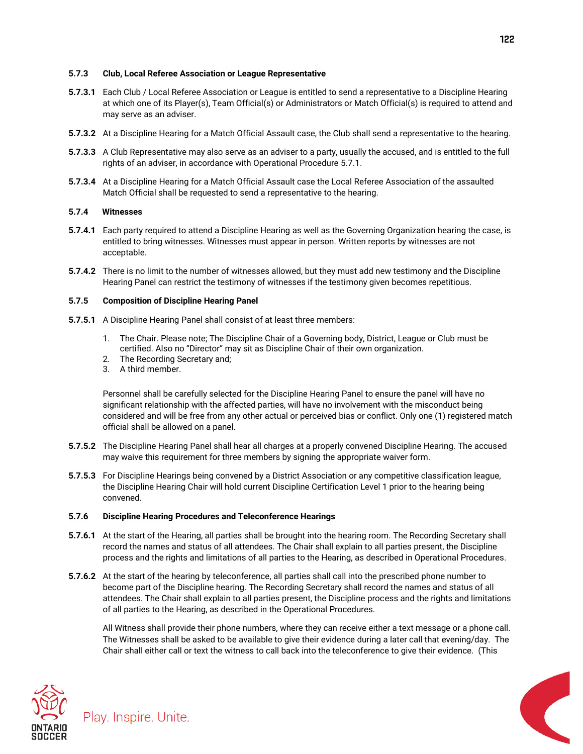#### **5.7.3 Club, Local Referee Association or League Representative**

- **5.7.3.1** Each Club / Local Referee Association or League is entitled to send a representative to a Discipline Hearing at which one of its Player(s), Team Official(s) or Administrators or Match Official(s) is required to attend and may serve as an adviser.
- **5.7.3.2** At a Discipline Hearing for a Match Official Assault case, the Club shall send a representative to the hearing.
- **5.7.3.3** A Club Representative may also serve as an adviser to a party, usually the accused, and is entitled to the full rights of an adviser, in accordance with Operational Procedure 5.7.1.
- **5.7.3.4** At a Discipline Hearing for a Match Official Assault case the Local Referee Association of the assaulted Match Official shall be requested to send a representative to the hearing.

#### **5.7.4 Witnesses**

- **5.7.4.1** Each party required to attend a Discipline Hearing as well as the Governing Organization hearing the case, is entitled to bring witnesses. Witnesses must appear in person. Written reports by witnesses are not acceptable.
- **5.7.4.2** There is no limit to the number of witnesses allowed, but they must add new testimony and the Discipline Hearing Panel can restrict the testimony of witnesses if the testimony given becomes repetitious.

#### **5.7.5 Composition of Discipline Hearing Panel**

- **5.7.5.1** A Discipline Hearing Panel shall consist of at least three members:
	- 1. The Chair. Please note; The Discipline Chair of a Governing body, District, League or Club must be certified. Also no "Director" may sit as Discipline Chair of their own organization.
	- 2. The Recording Secretary and;
	- 3. A third member.

Personnel shall be carefully selected for the Discipline Hearing Panel to ensure the panel will have no significant relationship with the affected parties, will have no involvement with the misconduct being considered and will be free from any other actual or perceived bias or conflict. Only one (1) registered match official shall be allowed on a panel.

- **5.7.5.2** The Discipline Hearing Panel shall hear all charges at a properly convened Discipline Hearing. The accused may waive this requirement for three members by signing the appropriate waiver form.
- **5.7.5.3** For Discipline Hearings being convened by a District Association or any competitive classification league, the Discipline Hearing Chair will hold current Discipline Certification Level 1 prior to the hearing being convened.

#### **5.7.6 Discipline Hearing Procedures and Teleconference Hearings**

- **5.7.6.1** At the start of the Hearing, all parties shall be brought into the hearing room. The Recording Secretary shall record the names and status of all attendees. The Chair shall explain to all parties present, the Discipline process and the rights and limitations of all parties to the Hearing, as described in Operational Procedures.
- **5.7.6.2** At the start of the hearing by teleconference, all parties shall call into the prescribed phone number to become part of the Discipline hearing. The Recording Secretary shall record the names and status of all attendees. The Chair shall explain to all parties present, the Discipline process and the rights and limitations of all parties to the Hearing, as described in the Operational Procedures.

All Witness shall provide their phone numbers, where they can receive either a text message or a phone call. The Witnesses shall be asked to be available to give their evidence during a later call that evening/day. The Chair shall either call or text the witness to call back into the teleconference to give their evidence. (This



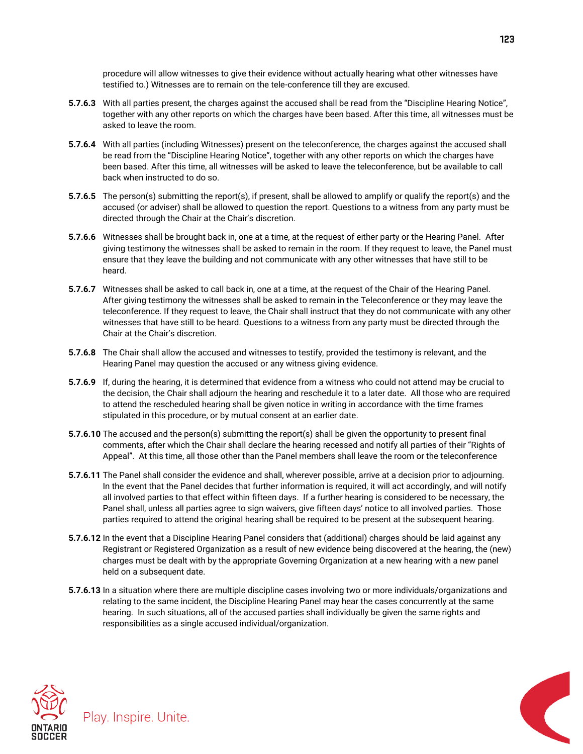procedure will allow witnesses to give their evidence without actually hearing what other witnesses have testified to.) Witnesses are to remain on the tele-conference till they are excused.

- **5.7.6.3** With all parties present, the charges against the accused shall be read from the "Discipline Hearing Notice", together with any other reports on which the charges have been based. After this time, all witnesses must be asked to leave the room.
- **5.7.6.4** With all parties (including Witnesses) present on the teleconference, the charges against the accused shall be read from the "Discipline Hearing Notice", together with any other reports on which the charges have been based. After this time, all witnesses will be asked to leave the teleconference, but be available to call back when instructed to do so.
- **5.7.6.5** The person(s) submitting the report(s), if present, shall be allowed to amplify or qualify the report(s) and the accused (or adviser) shall be allowed to question the report. Questions to a witness from any party must be directed through the Chair at the Chair's discretion.
- **5.7.6.6** Witnesses shall be brought back in, one at a time, at the request of either party or the Hearing Panel. After giving testimony the witnesses shall be asked to remain in the room. If they request to leave, the Panel must ensure that they leave the building and not communicate with any other witnesses that have still to be heard.
- **5.7.6.7** Witnesses shall be asked to call back in, one at a time, at the request of the Chair of the Hearing Panel. After giving testimony the witnesses shall be asked to remain in the Teleconference or they may leave the teleconference. If they request to leave, the Chair shall instruct that they do not communicate with any other witnesses that have still to be heard. Questions to a witness from any party must be directed through the Chair at the Chair's discretion.
- **5.7.6.8** The Chair shall allow the accused and witnesses to testify, provided the testimony is relevant, and the Hearing Panel may question the accused or any witness giving evidence.
- **5.7.6.9** If, during the hearing, it is determined that evidence from a witness who could not attend may be crucial to the decision, the Chair shall adjourn the hearing and reschedule it to a later date. All those who are required to attend the rescheduled hearing shall be given notice in writing in accordance with the time frames stipulated in this procedure, or by mutual consent at an earlier date.
- **5.7.6.10** The accused and the person(s) submitting the report(s) shall be given the opportunity to present final comments, after which the Chair shall declare the hearing recessed and notify all parties of their "Rights of Appeal". At this time, all those other than the Panel members shall leave the room or the teleconference
- **5.7.6.11** The Panel shall consider the evidence and shall, wherever possible, arrive at a decision prior to adjourning. In the event that the Panel decides that further information is required, it will act accordingly, and will notify all involved parties to that effect within fifteen days. If a further hearing is considered to be necessary, the Panel shall, unless all parties agree to sign waivers, give fifteen days' notice to all involved parties. Those parties required to attend the original hearing shall be required to be present at the subsequent hearing.
- **5.7.6.12** In the event that a Discipline Hearing Panel considers that (additional) charges should be laid against any Registrant or Registered Organization as a result of new evidence being discovered at the hearing, the (new) charges must be dealt with by the appropriate Governing Organization at a new hearing with a new panel held on a subsequent date.
- **5.7.6.13** In a situation where there are multiple discipline cases involving two or more individuals/organizations and relating to the same incident, the Discipline Hearing Panel may hear the cases concurrently at the same hearing. In such situations, all of the accused parties shall individually be given the same rights and responsibilities as a single accused individual/organization.





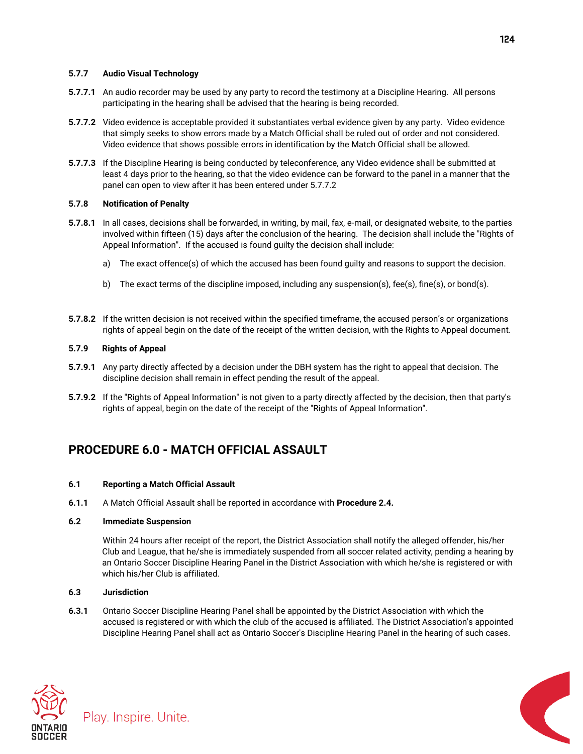### **5.7.7 Audio Visual Technology**

- **5.7.7.1** An audio recorder may be used by any party to record the testimony at a Discipline Hearing. All persons participating in the hearing shall be advised that the hearing is being recorded.
- **5.7.7.2** Video evidence is acceptable provided it substantiates verbal evidence given by any party. Video evidence that simply seeks to show errors made by a Match Official shall be ruled out of order and not considered. Video evidence that shows possible errors in identification by the Match Official shall be allowed.
- **5.7.7.3** If the Discipline Hearing is being conducted by teleconference, any Video evidence shall be submitted at least 4 days prior to the hearing, so that the video evidence can be forward to the panel in a manner that the panel can open to view after it has been entered under 5.7.7.2

### **5.7.8 Notification of Penalty**

- **5.7.8.1** In all cases, decisions shall be forwarded, in writing, by mail, fax, e-mail, or designated website, to the parties involved within fifteen (15) days after the conclusion of the hearing. The decision shall include the "Rights of Appeal Information". If the accused is found guilty the decision shall include:
	- a) The exact offence(s) of which the accused has been found guilty and reasons to support the decision.
	- b) The exact terms of the discipline imposed, including any suspension(s), fee(s), fine(s), or bond(s).
- **5.7.8.2** If the written decision is not received within the specified timeframe, the accused person's or organizations rights of appeal begin on the date of the receipt of the written decision, with the Rights to Appeal document.

## **5.7.9 Rights of Appeal**

- **5.7.9.1** Any party directly affected by a decision under the DBH system has the right to appeal that decision. The discipline decision shall remain in effect pending the result of the appeal.
- **5.7.9.2** If the "Rights of Appeal Information" is not given to a party directly affected by the decision, then that party's rights of appeal, begin on the date of the receipt of the "Rights of Appeal Information".

## **PROCEDURE 6.0 - MATCH OFFICIAL ASSAULT**

#### **6.1 Reporting a Match Official Assault**

**6.1.1** A Match Official Assault shall be reported in accordance with **Procedure 2.4.**

#### **6.2 Immediate Suspension**

Within 24 hours after receipt of the report, the District Association shall notify the alleged offender, his/her Club and League, that he/she is immediately suspended from all soccer related activity, pending a hearing by an Ontario Soccer Discipline Hearing Panel in the District Association with which he/she is registered or with which his/her Club is affiliated.

## **6.3 Jurisdiction**

**6.3.1** Ontario Soccer Discipline Hearing Panel shall be appointed by the District Association with which the accused is registered or with which the club of the accused is affiliated. The District Association's appointed Discipline Hearing Panel shall act as Ontario Soccer's Discipline Hearing Panel in the hearing of such cases.





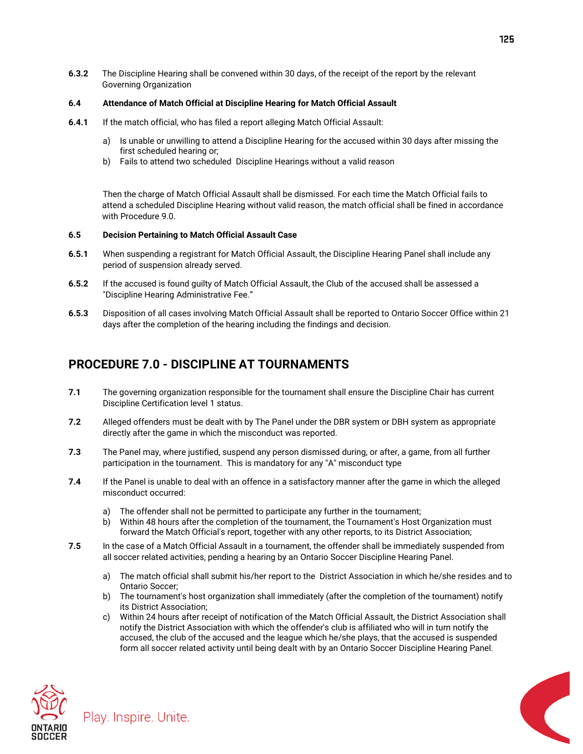**6.3.2** The Discipline Hearing shall be convened within 30 days, of the receipt of the report by the relevant Governing Organization

#### **6.4 Attendance of Match Official at Discipline Hearing for Match Official Assault**

- **6.4.1** If the match official, who has filed a report alleging Match Official Assault:
	- a) Is unable or unwilling to attend a Discipline Hearing for the accused within 30 days after missing the first scheduled hearing or;
	- b) Fails to attend two scheduled Discipline Hearings without a valid reason

Then the charge of Match Official Assault shall be dismissed. For each time the Match Official fails to attend a scheduled Discipline Hearing without valid reason, the match official shall be fined in accordance with Procedure 9.0.

#### **6.5 Decision Pertaining to Match Official Assault Case**

- **6.5.1** When suspending a registrant for Match Official Assault, the Discipline Hearing Panel shall include any period of suspension already served.
- **6.5.2** If the accused is found guilty of Match Official Assault, the Club of the accused shall be assessed a "Discipline Hearing Administrative Fee."
- **6.5.3** Disposition of all cases involving Match Official Assault shall be reported to Ontario Soccer Office within 21 days after the completion of the hearing including the findings and decision.

## **PROCEDURE 7.0 - DISCIPLINE AT TOURNAMENTS**

- **7.1** The governing organization responsible for the tournament shall ensure the Discipline Chair has current Discipline Certification level 1 status.
- **7.2** Alleged offenders must be dealt with by The Panel under the DBR system or DBH system as appropriate directly after the game in which the misconduct was reported.
- **7.3** The Panel may, where justified, suspend any person dismissed during, or after, a game, from all further participation in the tournament. This is mandatory for any "A" misconduct type
- **7.4** If the Panel is unable to deal with an offence in a satisfactory manner after the game in which the alleged misconduct occurred:
	- a) The offender shall not be permitted to participate any further in the tournament;
	- b) Within 48 hours after the completion of the tournament, the Tournament's Host Organization must forward the Match Official's report, together with any other reports, to its District Association;
- **7.5** In the case of a Match Official Assault in a tournament, the offender shall be immediately suspended from all soccer related activities, pending a hearing by an Ontario Soccer Discipline Hearing Panel.
	- a) The match official shall submit his/her report to the District Association in which he/she resides and to Ontario Soccer;
	- b) The tournament's host organization shall immediately (after the completion of the tournament) notify its District Association;
	- c) Within 24 hours after receipt of notification of the Match Official Assault, the District Association shall notify the District Association with which the offender's club is affiliated who will in turn notify the accused, the club of the accused and the league which he/she plays, that the accused is suspended form all soccer related activity until being dealt with by an Ontario Soccer Discipline Hearing Panel.





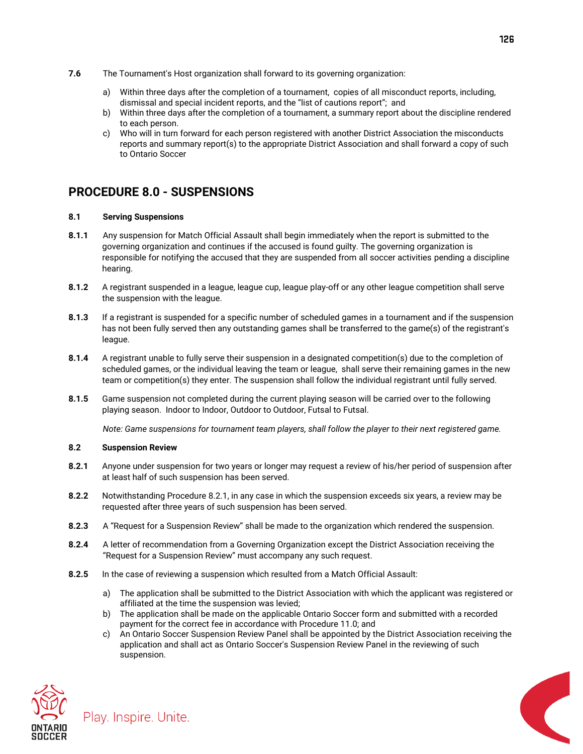- **7.6** The Tournament's Host organization shall forward to its governing organization:
	- a) Within three days after the completion of a tournament, copies of all misconduct reports, including, dismissal and special incident reports, and the "list of cautions report"; and
	- b) Within three days after the completion of a tournament, a summary report about the discipline rendered to each person.
	- c) Who will in turn forward for each person registered with another District Association the misconducts reports and summary report(s) to the appropriate District Association and shall forward a copy of such to Ontario Soccer

## **PROCEDURE 8.0 - SUSPENSIONS**

#### **8.1 Serving Suspensions**

- **8.1.1** Any suspension for Match Official Assault shall begin immediately when the report is submitted to the governing organization and continues if the accused is found guilty. The governing organization is responsible for notifying the accused that they are suspended from all soccer activities pending a discipline hearing.
- **8.1.2** A registrant suspended in a league, league cup, league play-off or any other league competition shall serve the suspension with the league.
- **8.1.3** If a registrant is suspended for a specific number of scheduled games in a tournament and if the suspension has not been fully served then any outstanding games shall be transferred to the game(s) of the registrant's league.
- **8.1.4** A registrant unable to fully serve their suspension in a designated competition(s) due to the completion of scheduled games, or the individual leaving the team or league, shall serve their remaining games in the new team or competition(s) they enter. The suspension shall follow the individual registrant until fully served.
- **8.1.5** Game suspension not completed during the current playing season will be carried over to the following playing season. Indoor to Indoor, Outdoor to Outdoor, Futsal to Futsal.

*Note: Game suspensions for tournament team players, shall follow the player to their next registered game.*

### **8.2 Suspension Review**

- **8.2.1** Anyone under suspension for two years or longer may request a review of his/her period of suspension after at least half of such suspension has been served.
- **8.2.2** Notwithstanding Procedure 8.2.1, in any case in which the suspension exceeds six years, a review may be requested after three years of such suspension has been served.
- **8.2.3** A "Request for a Suspension Review" shall be made to the organization which rendered the suspension.
- **8.2.4** A letter of recommendation from a Governing Organization except the District Association receiving the "Request for a Suspension Review" must accompany any such request.
- **8.2.5** In the case of reviewing a suspension which resulted from a Match Official Assault:
	- a) The application shall be submitted to the District Association with which the applicant was registered or affiliated at the time the suspension was levied;
	- b) The application shall be made on the applicable Ontario Soccer form and submitted with a recorded payment for the correct fee in accordance with Procedure 11.0; and
	- c) An Ontario Soccer Suspension Review Panel shall be appointed by the District Association receiving the application and shall act as Ontario Soccer's Suspension Review Panel in the reviewing of such suspension.



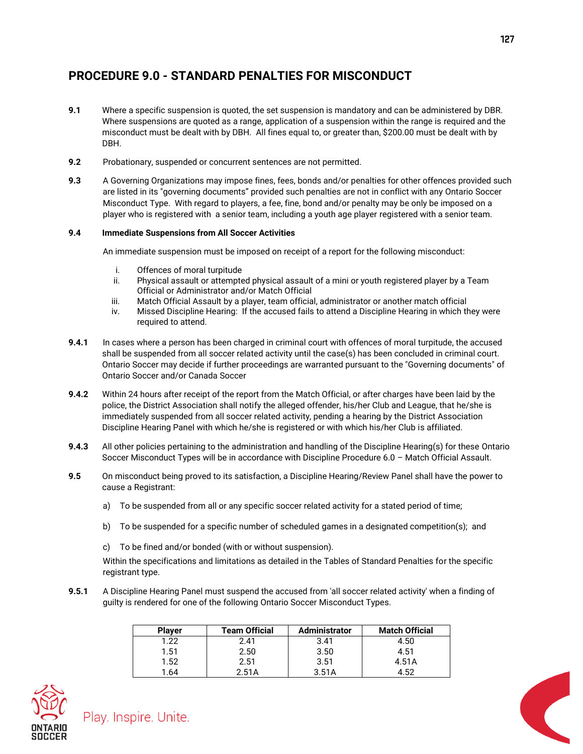## **PROCEDURE 9.0 - STANDARD PENALTIES FOR MISCONDUCT**

- **9.1** Where a specific suspension is quoted, the set suspension is mandatory and can be administered by DBR. Where suspensions are quoted as a range, application of a suspension within the range is required and the misconduct must be dealt with by DBH. All fines equal to, or greater than, \$200.00 must be dealt with by DBH.
- **9.2** Probationary, suspended or concurrent sentences are not permitted.
- **9.3** A Governing Organizations may impose fines, fees, bonds and/or penalties for other offences provided such are listed in its "governing documents" provided such penalties are not in conflict with any Ontario Soccer Misconduct Type. With regard to players, a fee, fine, bond and/or penalty may be only be imposed on a player who is registered with a senior team, including a youth age player registered with a senior team.

## **9.4 Immediate Suspensions from All Soccer Activities**

An immediate suspension must be imposed on receipt of a report for the following misconduct:

- i. Offences of moral turpitude
- ii. Physical assault or attempted physical assault of a mini or youth registered player by a Team Official or Administrator and/or Match Official
- iii. Match Official Assault by a player, team official, administrator or another match official
- iv. Missed Discipline Hearing: If the accused fails to attend a Discipline Hearing in which they were required to attend.
- **9.4.1** In cases where a person has been charged in criminal court with offences of moral turpitude, the accused shall be suspended from all soccer related activity until the case(s) has been concluded in criminal court. Ontario Soccer may decide if further proceedings are warranted pursuant to the "Governing documents" of Ontario Soccer and/or Canada Soccer
- **9.4.2** Within 24 hours after receipt of the report from the Match Official, or after charges have been laid by the police, the District Association shall notify the alleged offender, his/her Club and League, that he/she is immediately suspended from all soccer related activity, pending a hearing by the District Association Discipline Hearing Panel with which he/she is registered or with which his/her Club is affiliated.
- **9.4.3** All other policies pertaining to the administration and handling of the Discipline Hearing(s) for these Ontario Soccer Misconduct Types will be in accordance with Discipline Procedure 6.0 – Match Official Assault.
- **9.5** On misconduct being proved to its satisfaction, a Discipline Hearing/Review Panel shall have the power to cause a Registrant:
	- a) To be suspended from all or any specific soccer related activity for a stated period of time;
	- b) To be suspended for a specific number of scheduled games in a designated competition(s); and
	- c) To be fined and/or bonded (with or without suspension).

Within the specifications and limitations as detailed in the Tables of Standard Penalties for the specific registrant type.

**9.5.1** A Discipline Hearing Panel must suspend the accused from 'all soccer related activity' when a finding of guilty is rendered for one of the following Ontario Soccer Misconduct Types.

| <b>Player</b> | <b>Team Official</b> | <b>Administrator</b> | <b>Match Official</b> |
|---------------|----------------------|----------------------|-----------------------|
| 1.22          | 2.41                 | 3.41                 | 4.50                  |
| 1.51          | 2.50                 | 3.50                 | 4.51                  |
| 1.52          | 2.51                 | 3.51                 | 4.51A                 |
| .64           | 2.51A                | 3.51A                | 1 52                  |

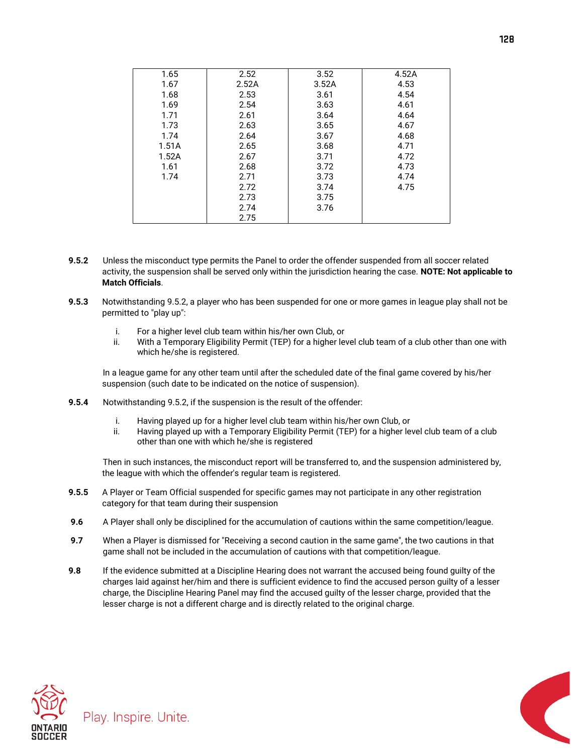| 1.65  | 2.52  | 3.52  | 4.52A |
|-------|-------|-------|-------|
| 1.67  | 2.52A | 3.52A | 4.53  |
| 1.68  | 2.53  | 3.61  | 4.54  |
| 1.69  | 2.54  | 3.63  | 4.61  |
| 1.71  | 2.61  | 3.64  | 4.64  |
| 1.73  | 2.63  | 3.65  | 4.67  |
| 1.74  | 2.64  | 3.67  | 4.68  |
| 1.51A | 2.65  | 3.68  | 4.71  |
| 1.52A | 2.67  | 3.71  | 4.72  |
| 1.61  | 2.68  | 3.72  | 4.73  |
| 1.74  | 2.71  | 3.73  | 4.74  |
|       | 2.72  | 3.74  | 4.75  |
|       | 2.73  | 3.75  |       |
|       | 2.74  | 3.76  |       |
|       | 2.75  |       |       |

- **9.5.2** Unless the misconduct type permits the Panel to order the offender suspended from all soccer related activity, the suspension shall be served only within the jurisdiction hearing the case. **NOTE: Not applicable to Match Officials**.
- **9.5.3** Notwithstanding 9.5.2, a player who has been suspended for one or more games in league play shall not be permitted to "play up":
	- i. For a higher level club team within his/her own Club, or
	- ii. With a Temporary Eligibility Permit (TEP) for a higher level club team of a club other than one with which he/she is registered.

In a league game for any other team until after the scheduled date of the final game covered by his/her suspension (such date to be indicated on the notice of suspension).

- **9.5.4** Notwithstanding 9.5.2, if the suspension is the result of the offender:
	- i. Having played up for a higher level club team within his/her own Club, or
	- ii. Having played up with a Temporary Eligibility Permit (TEP) for a higher level club team of a club other than one with which he/she is registered

Then in such instances, the misconduct report will be transferred to, and the suspension administered by, the league with which the offender's regular team is registered.

- **9.5.5** A Player or Team Official suspended for specific games may not participate in any other registration category for that team during their suspension
- **9.6** A Player shall only be disciplined for the accumulation of cautions within the same competition/league.
- **9.7** When a Player is dismissed for "Receiving a second caution in the same game", the two cautions in that game shall not be included in the accumulation of cautions with that competition/league.
- **9.8** If the evidence submitted at a Discipline Hearing does not warrant the accused being found guilty of the charges laid against her/him and there is sufficient evidence to find the accused person guilty of a lesser charge, the Discipline Hearing Panel may find the accused guilty of the lesser charge, provided that the lesser charge is not a different charge and is directly related to the original charge.





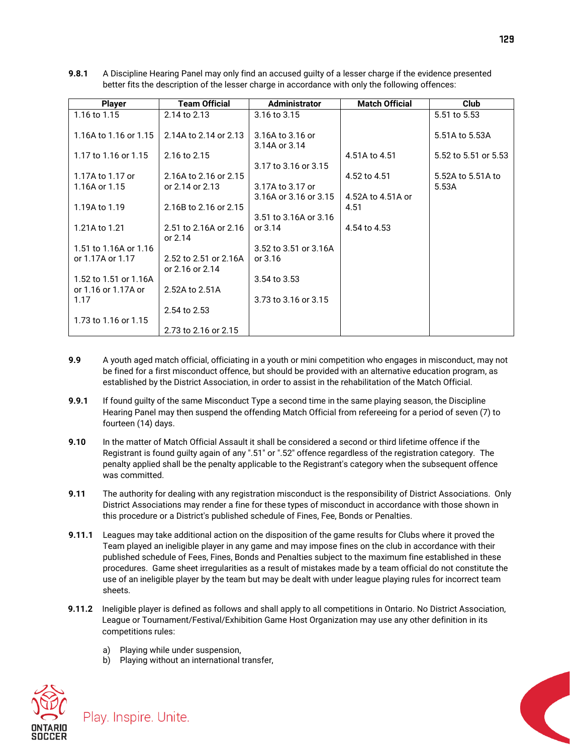**9.8.1** A Discipline Hearing Panel may only find an accused guilty of a lesser charge if the evidence presented better fits the description of the lesser charge in accordance with only the following offences:

| <b>Player</b>                     | <b>Team Official</b>                     | Administrator                     | <b>Match Official</b> | <b>Club</b>                |
|-----------------------------------|------------------------------------------|-----------------------------------|-----------------------|----------------------------|
| 1.16 to 1.15                      | 2.14 to 2.13                             | 3.16 to 3.15                      |                       | 5.51 to 5.53               |
| 1.16A to 1.16 or 1.15             | 2.14A to 2.14 or 2.13                    | 3.16A to 3.16 or<br>3.14A or 3.14 |                       | 5.51A to 5.53A             |
| 1.17 to 1.16 or 1.15              | 2.16 to 2.15                             | 3.17 to 3.16 or 3.15              | 4.51A to 4.51         | 5.52 to 5.51 or 5.53       |
| 1.17A to 1.17 or<br>1.16A or 1.15 | 2.16A to 2.16 or 2.15<br>or 2.14 or 2.13 | 3.17A to 3.17 or                  | 4.52 to 4.51          | 5.52A to 5.51A to<br>5.53A |
|                                   |                                          | 3.16A or 3.16 or 3.15             | 4.52A to 4.51A or     |                            |
| 1.19A to 1.19                     | 2.16B to 2.16 or 2.15                    | 3.51 to 3.16A or 3.16             | 4.51                  |                            |
| 1.21A to 1.21                     | 2.51 to 2.16A or 2.16<br>or $2.14$       | or $3.14$                         | 4.54 to 4.53          |                            |
| 1.51 to 1.16A or 1.16             |                                          | 3.52 to 3.51 or 3.16A             |                       |                            |
| or 1.17A or 1.17                  | 2.52 to 2.51 or 2.16A<br>or 2.16 or 2.14 | or 3.16                           |                       |                            |
| 1.52 to 1.51 or 1.16A             |                                          | 3.54 to 3.53                      |                       |                            |
| or 1.16 or 1.17A or<br>1.17       | 2.52A to 2.51A                           | 3.73 to 3.16 or 3.15              |                       |                            |
|                                   | 2.54 to 2.53                             |                                   |                       |                            |
| 1.73 to 1.16 or 1.15              |                                          |                                   |                       |                            |
|                                   | 2.73 to 2.16 or 2.15                     |                                   |                       |                            |

- **9.9** A youth aged match official, officiating in a youth or mini competition who engages in misconduct, may not be fined for a first misconduct offence, but should be provided with an alternative education program, as established by the District Association, in order to assist in the rehabilitation of the Match Official.
- **9.9.1** If found guilty of the same Misconduct Type a second time in the same playing season, the Discipline Hearing Panel may then suspend the offending Match Official from refereeing for a period of seven (7) to fourteen (14) days.
- **9.10** In the matter of Match Official Assault it shall be considered a second or third lifetime offence if the Registrant is found guilty again of any ".51" or ".52" offence regardless of the registration category. The penalty applied shall be the penalty applicable to the Registrant's category when the subsequent offence was committed.
- **9.11** The authority for dealing with any registration misconduct is the responsibility of District Associations. Only District Associations may render a fine for these types of misconduct in accordance with those shown in this procedure or a District's published schedule of Fines, Fee, Bonds or Penalties.
- **9.11.1** Leagues may take additional action on the disposition of the game results for Clubs where it proved the Team played an ineligible player in any game and may impose fines on the club in accordance with their published schedule of Fees, Fines, Bonds and Penalties subject to the maximum fine established in these procedures. Game sheet irregularities as a result of mistakes made by a team official do not constitute the use of an ineligible player by the team but may be dealt with under league playing rules for incorrect team sheets.
- **9.11.2** Ineligible player is defined as follows and shall apply to all competitions in Ontario. No District Association, League or Tournament/Festival/Exhibition Game Host Organization may use any other definition in its competitions rules:
	- a) Playing while under suspension,
	- b) Playing without an international transfer,



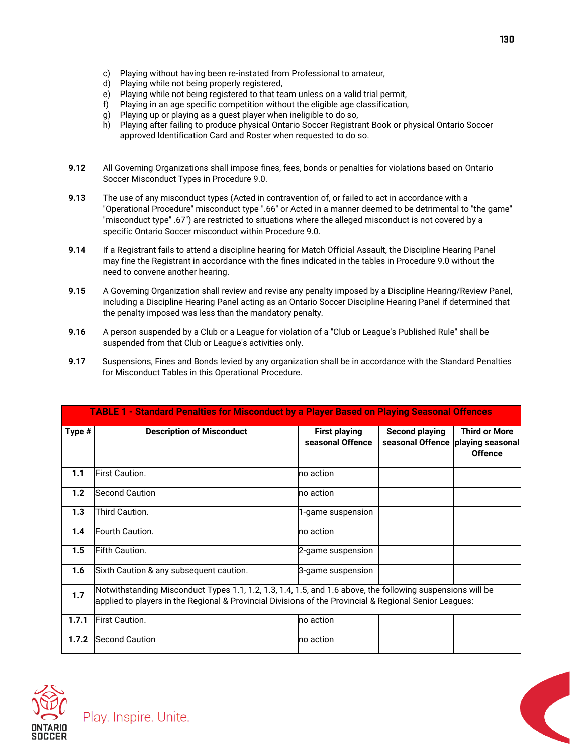- c) Playing without having been re-instated from Professional to amateur,
- d) Playing while not being properly registered,
- e) Playing while not being registered to that team unless on a valid trial permit,
- f) Playing in an age specific competition without the eligible age classification,
- g) Playing up or playing as a guest player when ineligible to do so,
- h) Playing after failing to produce physical Ontario Soccer Registrant Book or physical Ontario Soccer approved Identification Card and Roster when requested to do so.
- **9.12** All Governing Organizations shall impose fines, fees, bonds or penalties for violations based on Ontario Soccer Misconduct Types in Procedure 9.0.
- **9.13** The use of any misconduct types (Acted in contravention of, or failed to act in accordance with a "Operational Procedure" misconduct type ".66" or Acted in a manner deemed to be detrimental to "the game" "misconduct type" .67") are restricted to situations where the alleged misconduct is not covered by a specific Ontario Soccer misconduct within Procedure 9.0.
- **9.14** If a Registrant fails to attend a discipline hearing for Match Official Assault, the Discipline Hearing Panel may fine the Registrant in accordance with the fines indicated in the tables in Procedure 9.0 without the need to convene another hearing.
- **9.15** A Governing Organization shall review and revise any penalty imposed by a Discipline Hearing/Review Panel, including a Discipline Hearing Panel acting as an Ontario Soccer Discipline Hearing Panel if determined that the penalty imposed was less than the mandatory penalty.
- **9.16** A person suspended by a Club or a League for violation of a "Club or League's Published Rule" shall be suspended from that Club or League's activities only.
- **9.17** Suspensions, Fines and Bonds levied by any organization shall be in accordance with the Standard Penalties for Misconduct Tables in this Operational Procedure.

|        | <b>TABLE 1 - Standard Penalties for Misconduct by a Player Based on Playing Seasonal Offences</b>                                                                                                                    |                                          |                                                              |                                        |
|--------|----------------------------------------------------------------------------------------------------------------------------------------------------------------------------------------------------------------------|------------------------------------------|--------------------------------------------------------------|----------------------------------------|
| Type # | <b>Description of Misconduct</b>                                                                                                                                                                                     | <b>First playing</b><br>seasonal Offence | <b>Second playing</b><br>seasonal Offence   playing seasonal | <b>Third or More</b><br><b>Offence</b> |
| 1.1    | First Caution.                                                                                                                                                                                                       | no action                                |                                                              |                                        |
| 1.2    | <b>Second Caution</b>                                                                                                                                                                                                | no action                                |                                                              |                                        |
| 1.3    | Third Caution.                                                                                                                                                                                                       | 1-game suspension                        |                                                              |                                        |
| 1.4    | Fourth Caution.                                                                                                                                                                                                      | no action                                |                                                              |                                        |
| 1.5    | Fifth Caution.                                                                                                                                                                                                       | 2-game suspension                        |                                                              |                                        |
| 1.6    | Sixth Caution & any subsequent caution.                                                                                                                                                                              | 3-game suspension                        |                                                              |                                        |
| 1.7    | Notwithstanding Misconduct Types 1.1, 1.2, 1.3, 1.4, 1.5, and 1.6 above, the following suspensions will be<br>applied to players in the Regional & Provincial Divisions of the Provincial & Regional Senior Leagues: |                                          |                                                              |                                        |
| 1.7.1  | <b>First Caution.</b>                                                                                                                                                                                                | no action                                |                                                              |                                        |
| 1.7.2  | <b>Second Caution</b>                                                                                                                                                                                                | no action                                |                                                              |                                        |



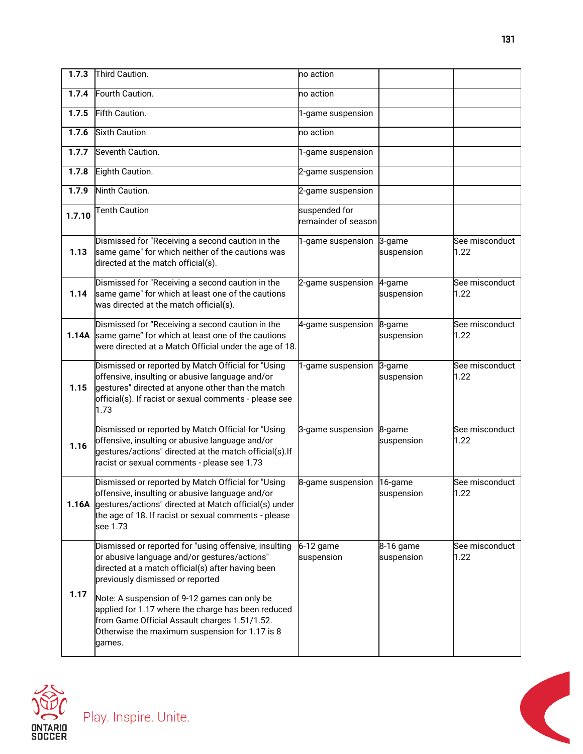| 1.7.3  | Third Caution.                                                                                                                                                                                                                           | no action                            |                      |                        |
|--------|------------------------------------------------------------------------------------------------------------------------------------------------------------------------------------------------------------------------------------------|--------------------------------------|----------------------|------------------------|
| 1.7.4  | Fourth Caution.                                                                                                                                                                                                                          | no action                            |                      |                        |
| 1.7.5  | Fifth Caution.                                                                                                                                                                                                                           | 1-game suspension                    |                      |                        |
| 1.7.6  | <b>Sixth Caution</b>                                                                                                                                                                                                                     | no action                            |                      |                        |
| 1.7.7  | Seventh Caution.                                                                                                                                                                                                                         | 1-game suspension                    |                      |                        |
| 1.7.8  | Eighth Caution.                                                                                                                                                                                                                          | 2-game suspension                    |                      |                        |
| 1.7.9  | Ninth Caution.                                                                                                                                                                                                                           | 2-game suspension                    |                      |                        |
| 1.7.10 | <b>Tenth Caution</b>                                                                                                                                                                                                                     | suspended for<br>remainder of season |                      |                        |
| 1.13   | Dismissed for "Receiving a second caution in the<br>same game" for which neither of the cautions was<br>directed at the match official(s).                                                                                               | 1-game suspension 3-game             | suspension           | See misconduct<br>1.22 |
| 1.14   | Dismissed for "Receiving a second caution in the<br>same game" for which at least one of the cautions<br>was directed at the match official(s).                                                                                          | 2-game suspension                    | 4-game<br>suspension | See misconduct<br>1.22 |
| 1.14A  | Dismissed for "Receiving a second caution in the<br>same game" for which at least one of the cautions<br>were directed at a Match Official under the age of 18.                                                                          | 4-game suspension                    | 8-game<br>suspension | See misconduct<br>1.22 |
|        | Dismissed or reported by Match Official for "Using                                                                                                                                                                                       | 1-game suspension                    | 3-game               | See misconduct         |
| 1.15   | offensive, insulting or abusive language and/or<br>gestures" directed at anyone other than the match<br>official(s). If racist or sexual comments - please see<br>1.73                                                                   |                                      | suspension           | 1.22                   |
| 1.16   | Dismissed or reported by Match Official for "Using<br>offensive, insulting or abusive language and/or<br>gestures/actions" directed at the match official(s).If<br>racist or sexual comments - please see 1.73                           | 3-game suspension 8-game             | suspension           | See misconduct<br>1.22 |
|        | Dismissed or reported by Match Official for "Using<br>offensive, insulting or abusive language and/or<br>1.16A gestures/actions" directed at Match official(s) under<br>the age of 18. If racist or sexual comments - please<br>see 1.73 | 8-game suspension 16-game            | suspension           | See misconduct<br>1.22 |

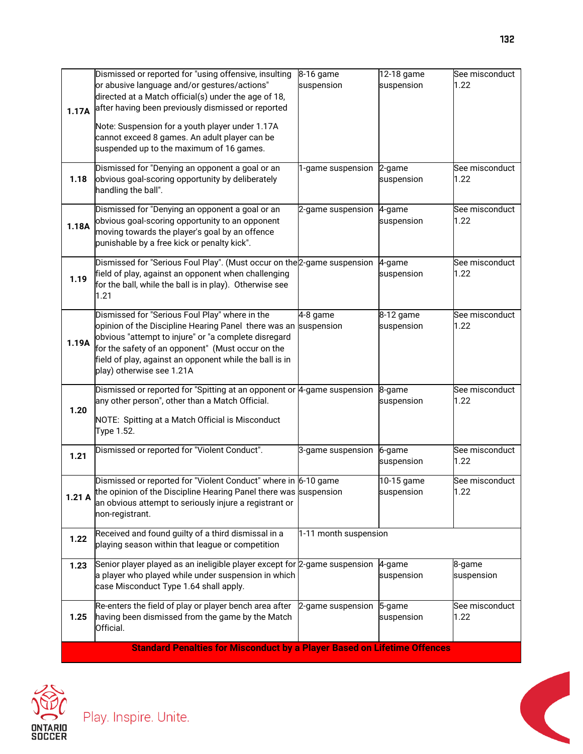| 1.17A | Dismissed or reported for "using offensive, insulting<br>or abusive language and/or gestures/actions"<br>directed at a Match official(s) under the age of 18,<br>after having been previously dismissed or reported<br>Note: Suspension for a youth player under 1.17A<br>cannot exceed 8 games. An adult player can be<br>suspended up to the maximum of 16 games. | 8-16 game<br>suspension | 12-18 game<br>suspension | See misconduct<br>1.22 |
|-------|---------------------------------------------------------------------------------------------------------------------------------------------------------------------------------------------------------------------------------------------------------------------------------------------------------------------------------------------------------------------|-------------------------|--------------------------|------------------------|
| 1.18  | Dismissed for "Denying an opponent a goal or an<br>obvious goal-scoring opportunity by deliberately<br>handling the ball".                                                                                                                                                                                                                                          | 1-game suspension       | 2-game<br>suspension     | See misconduct<br>1.22 |
| 1.18A | Dismissed for "Denying an opponent a goal or an<br>obvious goal-scoring opportunity to an opponent<br>moving towards the player's goal by an offence<br>punishable by a free kick or penalty kick".                                                                                                                                                                 | 2-game suspension       | 4-game<br>suspension     | See misconduct<br>1.22 |
| 1.19  | Dismissed for "Serious Foul Play". (Must occur on the 2-game suspension<br>field of play, against an opponent when challenging<br>for the ball, while the ball is in play). Otherwise see<br>1.21                                                                                                                                                                   |                         | 4-game<br>suspension     | See misconduct<br>1.22 |
| 1.19A | Dismissed for "Serious Foul Play" where in the<br>opinion of the Discipline Hearing Panel there was an<br>obvious "attempt to injure" or "a complete disregard<br>for the safety of an opponent" (Must occur on the<br>field of play, against an opponent while the ball is in<br>play) otherwise see 1.21A                                                         | 4-8 game<br>suspension  | 8-12 game<br>suspension  | See misconduct<br>1.22 |
| 1.20  | Dismissed or reported for "Spitting at an opponent or 4-game suspension<br>any other person", other than a Match Official.<br>NOTE: Spitting at a Match Official is Misconduct<br>Type 1.52.                                                                                                                                                                        |                         | 8-game<br>suspension     | See misconduct<br>1.22 |
| 1.21  | Dismissed or reported for "Violent Conduct".                                                                                                                                                                                                                                                                                                                        | 3-game suspension       | 6-game<br>suspension     | See misconduct<br>1.22 |
| 1.21A | Dismissed or reported for "Violent Conduct" where in 6-10 game<br>the opinion of the Discipline Hearing Panel there was suspension<br>an obvious attempt to seriously injure a registrant or<br>non-registrant.                                                                                                                                                     |                         | 10-15 game<br>suspension | See misconduct<br>1.22 |
| 1.22  | Received and found guilty of a third dismissal in a<br>playing season within that league or competition                                                                                                                                                                                                                                                             | 1-11 month suspension   |                          |                        |
| 1.23  | Senior player played as an ineligible player except for 2-game suspension<br>a player who played while under suspension in which<br>case Misconduct Type 1.64 shall apply.                                                                                                                                                                                          |                         | 4-game<br>suspension     | 8-game<br>suspension   |
| 1.25  | Re-enters the field of play or player bench area after<br>having been dismissed from the game by the Match<br>Official.                                                                                                                                                                                                                                             | 2-game suspension       | 5-game<br>suspension     | See misconduct<br>1.22 |
|       | <b>Standard Penalties for Misconduct by a Player Based on Lifetime Offences</b>                                                                                                                                                                                                                                                                                     |                         |                          |                        |



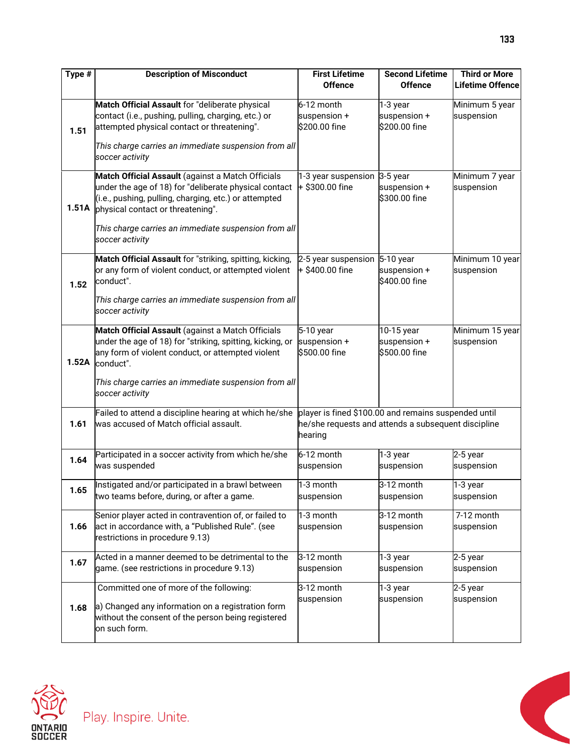| Type # | <b>Description of Misconduct</b>                                                                                                                                                                         | <b>First Lifetime</b><br><b>Offence</b>                                                                                | <b>Second Lifetime</b><br><b>Offence</b>    | <b>Third or More</b><br><b>Lifetime Offence</b> |
|--------|----------------------------------------------------------------------------------------------------------------------------------------------------------------------------------------------------------|------------------------------------------------------------------------------------------------------------------------|---------------------------------------------|-------------------------------------------------|
| 1.51   | Match Official Assault for "deliberate physical<br>contact (i.e., pushing, pulling, charging, etc.) or<br>attempted physical contact or threatening".                                                    | 6-12 month<br>suspension +<br>\$200.00 fine                                                                            | 1-3 year<br>suspension +<br>\$200.00 fine   | Minimum 5 year<br>suspension                    |
|        | This charge carries an immediate suspension from all<br>soccer activity                                                                                                                                  |                                                                                                                        |                                             |                                                 |
| 1.51A  | Match Official Assault (against a Match Officials<br>under the age of 18) for "deliberate physical contact<br>(i.e., pushing, pulling, charging, etc.) or attempted<br>physical contact or threatening". | 1-3 year suspension 3-5 year<br>+ \$300.00 fine                                                                        | suspension +<br>\$300.00 fine               | Minimum 7 year<br>suspension                    |
|        | This charge carries an immediate suspension from all<br>soccer activity                                                                                                                                  |                                                                                                                        |                                             |                                                 |
| 1.52   | Match Official Assault for "striking, spitting, kicking,<br>or any form of violent conduct, or attempted violent<br>conduct".                                                                            | 2-5 year suspension 5-10 year<br>$+$ \$400.00 fine                                                                     | suspension +<br>\$400.00 fine               | Minimum 10 year<br>suspension                   |
|        | This charge carries an immediate suspension from all<br>soccer activity                                                                                                                                  |                                                                                                                        |                                             |                                                 |
| 1.52A  | Match Official Assault (against a Match Officials<br>under the age of 18) for "striking, spitting, kicking, or<br>any form of violent conduct, or attempted violent<br>conduct".                         | 5-10 year<br>suspension +<br>\$500.00 fine                                                                             | 10-15 year<br>suspension +<br>\$500.00 fine | Minimum 15 year<br>suspension                   |
|        | This charge carries an immediate suspension from all<br>soccer activity                                                                                                                                  |                                                                                                                        |                                             |                                                 |
| 1.61   | Failed to attend a discipline hearing at which he/she<br>was accused of Match official assault.                                                                                                          | player is fined \$100.00 and remains suspended until<br>he/she requests and attends a subsequent discipline<br>hearing |                                             |                                                 |
| 1.64   | Participated in a soccer activity from which he/she<br>was suspended                                                                                                                                     | 6-12 month<br>suspension                                                                                               | 1-3 year<br>suspension                      | 2-5 year<br>suspension                          |
| 1.65   | Instigated and/or participated in a brawl between<br>two teams before, during, or after a game.                                                                                                          | 1-3 month<br>suspension                                                                                                | 3-12 month<br>suspension                    | 1-3 year<br>suspension                          |
| 1.66   | Senior player acted in contravention of, or failed to<br>act in accordance with, a "Published Rule". (see<br>restrictions in procedure 9.13)                                                             | 1-3 month<br>suspension                                                                                                | 3-12 month<br>suspension                    | 7-12 month<br>suspension                        |
| 1.67   | Acted in a manner deemed to be detrimental to the<br>game. (see restrictions in procedure 9.13)                                                                                                          | 3-12 month<br>suspension                                                                                               | 1-3 year<br>suspension                      | 2-5 year<br>suspension                          |
| 1.68   | Committed one of more of the following:<br>a) Changed any information on a registration form<br>without the consent of the person being registered<br>on such form.                                      | 3-12 month<br>suspension                                                                                               | 1-3 year<br>suspension                      | 2-5 year<br>suspension                          |



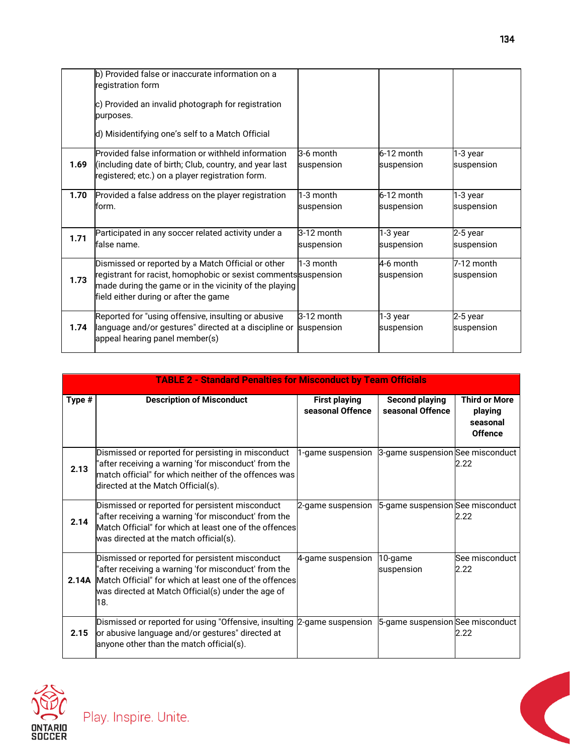|      | b) Provided false or inaccurate information on a                |            |            |            |
|------|-----------------------------------------------------------------|------------|------------|------------|
|      | registration form                                               |            |            |            |
|      | c) Provided an invalid photograph for registration              |            |            |            |
|      | purposes.                                                       |            |            |            |
|      | d) Misidentifying one's self to a Match Official                |            |            |            |
|      | Provided false information or withheld information              | 3-6 month  | 6-12 month | 1-3 year   |
| 1.69 | (including date of birth; Club, country, and year last          | suspension | suspension | suspension |
|      | registered; etc.) on a player registration form.                |            |            |            |
| 1.70 | Provided a false address on the player registration             | 1-3 month  | 6-12 month | 1-3 year   |
|      | form.                                                           | suspension | suspension | suspension |
|      |                                                                 |            |            |            |
| 1.71 | Participated in any soccer related activity under a             | 3-12 month | 1-3 year   | 2-5 year   |
|      | false name.                                                     | suspension | suspension | suspension |
|      | Dismissed or reported by a Match Official or other              | 1-3 month  | 4-6 month  | 7-12 month |
|      | registrant for racist, homophobic or sexist comments suspension |            | suspension | suspension |
| 1.73 | made during the game or in the vicinity of the playing          |            |            |            |
|      | field either during or after the game                           |            |            |            |
|      |                                                                 |            |            |            |
|      | Reported for "using offensive, insulting or abusive             | 3-12 month | 1-3 year   | 2-5 year   |
| 1.74 | language and/or gestures" directed at a discipline or           | suspension | suspension | suspension |
|      | appeal hearing panel member(s)                                  |            |            |            |

|        | <b>TABLE 2 - Standard Penalties for Misconduct by Team Officials</b>                                                                                                                                                                 |                                                    |                                           |                                                               |  |
|--------|--------------------------------------------------------------------------------------------------------------------------------------------------------------------------------------------------------------------------------------|----------------------------------------------------|-------------------------------------------|---------------------------------------------------------------|--|
| Type # | <b>Description of Misconduct</b>                                                                                                                                                                                                     | <b>First playing</b><br>seasonal Offence           | <b>Second playing</b><br>seasonal Offence | <b>Third or More</b><br>playing<br>seasonal<br><b>Offence</b> |  |
| 2.13   | Dismissed or reported for persisting in misconduct<br>"after receiving a warning 'for misconduct' from the<br>match official" for which neither of the offences was<br>directed at the Match Official(s).                            | 1-game suspension 3-game suspension See misconduct |                                           | 2.22                                                          |  |
| 2.14   | Dismissed or reported for persistent misconduct<br>"after receiving a warning 'for misconduct' from the<br>Match Official" for which at least one of the offences<br>was directed at the match official(s).                          | 2-game suspension 5-game suspension See misconduct |                                           | 2.22                                                          |  |
|        | Dismissed or reported for persistent misconduct<br>'after receiving a warning 'for misconduct' from the<br>2.14A Match Official" for which at least one of the offences<br>was directed at Match Official(s) under the age of<br>18. | 4-game suspension                                  | 10-game<br>suspension                     | See misconduct<br>2.22                                        |  |
| 2.15   | Dismissed or reported for using "Offensive, insulting<br>or abusive language and/or gestures" directed at<br>anyone other than the match official(s).                                                                                | 2-game suspension 5-game suspension See misconduct |                                           | 2.22                                                          |  |





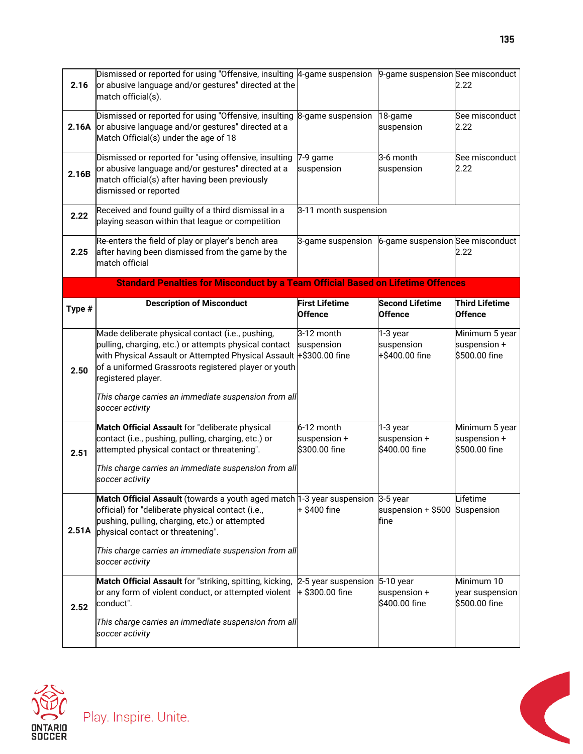| 2.16   | Dismissed or reported for using "Offensive, insulting 4-game suspension<br>or abusive language and/or gestures" directed at the<br>match official(s).                                                                                                                                                                                    |                                                      | 9-game suspension See misconduct          | 2.22                                              |
|--------|------------------------------------------------------------------------------------------------------------------------------------------------------------------------------------------------------------------------------------------------------------------------------------------------------------------------------------------|------------------------------------------------------|-------------------------------------------|---------------------------------------------------|
|        | Dismissed or reported for using "Offensive, insulting<br>2.16A or abusive language and/or gestures" directed at a<br>Match Official(s) under the age of 18                                                                                                                                                                               | 8-game suspension                                    | 18-game<br>suspension                     | See misconduct<br>2.22                            |
| 2.16B  | Dismissed or reported for "using offensive, insulting<br>or abusive language and/or gestures" directed at a<br>match official(s) after having been previously<br>dismissed or reported                                                                                                                                                   | 7-9 game<br>suspension                               | 3-6 month<br>suspension                   | See misconduct<br>2.22                            |
| 2.22   | Received and found guilty of a third dismissal in a<br>playing season within that league or competition                                                                                                                                                                                                                                  | 3-11 month suspension                                |                                           |                                                   |
| 2.25   | Re-enters the field of play or player's bench area<br>after having been dismissed from the game by the<br>match official                                                                                                                                                                                                                 | 3-game suspension                                    | 6-game suspension See misconduct          | 2.22                                              |
|        | <b>Standard Penalties for Misconduct by a Team Official Based on Lifetime Offences</b>                                                                                                                                                                                                                                                   |                                                      |                                           |                                                   |
| Type # | <b>Description of Misconduct</b>                                                                                                                                                                                                                                                                                                         | <b>First Lifetime</b><br><b>Offence</b>              | <b>Second Lifetime</b><br><b>Offence</b>  | <b>Third Lifetime</b><br><b>Offence</b>           |
| 2.50   | Made deliberate physical contact (i.e., pushing,<br>pulling, charging, etc.) or attempts physical contact<br>with Physical Assault or Attempted Physical Assault +\$300.00 fine<br>of a uniformed Grassroots registered player or youth<br>registered player.<br>This charge carries an immediate suspension from all<br>soccer activity | 3-12 month<br>suspension                             | 1-3 year<br>suspension<br>+\$400.00 fine  | Minimum 5 year<br>suspension +<br>\$500.00 fine   |
| 2.51   | Match Official Assault for "deliberate physical<br>contact (i.e., pushing, pulling, charging, etc.) or<br>attempted physical contact or threatening".<br>This charge carries an immediate suspension from all<br>soccer activity                                                                                                         | 6-12 month<br>suspension +<br>\$300.00 fine          | 1-3 year<br>suspension +<br>\$400.00 fine | Minimum 5 year<br>suspension $+$<br>\$500.00 fine |
| 2.51A  | <b>Match Official Assault</b> (towards a youth aged match $1-3$ year suspension $3-5$ year<br>official) for "deliberate physical contact (i.e.,<br>pushing, pulling, charging, etc.) or attempted<br>physical contact or threatening".<br>This charge carries an immediate suspension from all<br>soccer activity                        | $+$ \$400 fine                                       | suspension $+$ \$500 Suspension<br>fine   | Lifetime                                          |
| 2.52   | Match Official Assault for "striking, spitting, kicking,<br>or any form of violent conduct, or attempted violent<br>conduct".<br>This charge carries an immediate suspension from all<br>soccer activity                                                                                                                                 | 2-5 year suspension $5-10$ year<br>$+$ \$300.00 fine | suspension +<br>\$400.00 fine             | Minimum 10<br>year suspension<br>\$500.00 fine    |



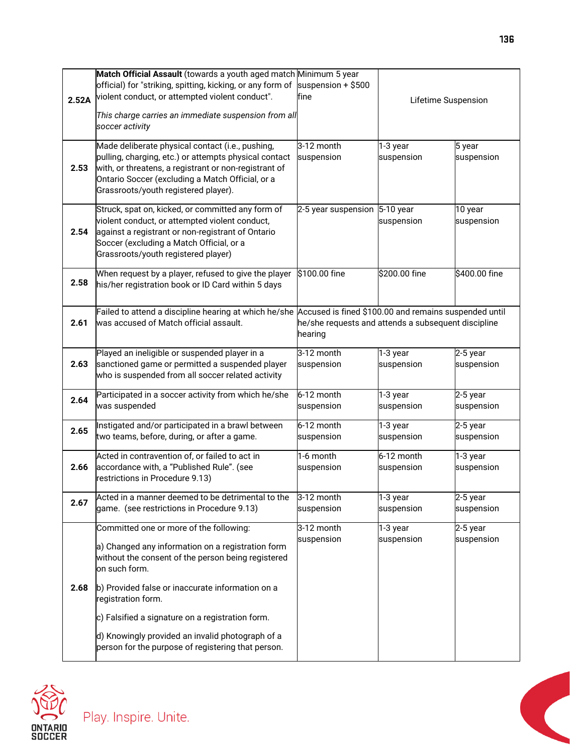|       | Match Official Assault (towards a youth aged match Minimum 5 year                                                                                     |                                                     |                          |                          |
|-------|-------------------------------------------------------------------------------------------------------------------------------------------------------|-----------------------------------------------------|--------------------------|--------------------------|
| 2.52A | official) for "striking, spitting, kicking, or any form of<br>violent conduct, or attempted violent conduct".                                         | suspension $+$ \$500<br>fine                        | Lifetime Suspension      |                          |
|       | This charge carries an immediate suspension from all                                                                                                  |                                                     |                          |                          |
|       | soccer activity                                                                                                                                       |                                                     |                          |                          |
|       | Made deliberate physical contact (i.e., pushing,                                                                                                      | 3-12 month                                          | 1-3 year                 | 5 year                   |
|       | pulling, charging, etc.) or attempts physical contact                                                                                                 | suspension                                          | suspension               | suspension               |
| 2.53  | with, or threatens, a registrant or non-registrant of<br>Ontario Soccer (excluding a Match Official, or a                                             |                                                     |                          |                          |
|       | Grassroots/youth registered player).                                                                                                                  |                                                     |                          |                          |
|       | Struck, spat on, kicked, or committed any form of                                                                                                     | 2-5 year suspension                                 | 5-10 year                | 10 year                  |
|       | violent conduct, or attempted violent conduct,                                                                                                        |                                                     | suspension               | suspension               |
| 2.54  | against a registrant or non-registrant of Ontario<br>Soccer (excluding a Match Official, or a                                                         |                                                     |                          |                          |
|       | Grassroots/youth registered player)                                                                                                                   |                                                     |                          |                          |
|       | When request by a player, refused to give the player                                                                                                  | \$100.00 fine                                       | \$200.00 fine            | \$400.00 fine            |
| 2.58  | his/her registration book or ID Card within 5 days                                                                                                    |                                                     |                          |                          |
|       |                                                                                                                                                       |                                                     |                          |                          |
| 2.61  | Failed to attend a discipline hearing at which he/she Accused is fined \$100.00 and remains suspended until<br>was accused of Match official assault. | he/she requests and attends a subsequent discipline |                          |                          |
|       |                                                                                                                                                       | hearing                                             |                          |                          |
|       | Played an ineligible or suspended player in a                                                                                                         | 3-12 month                                          | 1-3 year                 | 2-5 year                 |
| 2.63  | sanctioned game or permitted a suspended player                                                                                                       | suspension                                          | suspension               | suspension               |
|       | who is suspended from all soccer related activity                                                                                                     |                                                     |                          |                          |
| 2.64  | Participated in a soccer activity from which he/she<br>was suspended                                                                                  | 6-12 month<br>suspension                            | 1-3 year<br>suspension   | 2-5 year<br>suspension   |
|       |                                                                                                                                                       |                                                     |                          |                          |
| 2.65  | Instigated and/or participated in a brawl between<br>two teams, before, during, or after a game.                                                      | 6-12 month<br>suspension                            | 1-3 year<br>suspension   | 2-5 year<br>suspension   |
|       |                                                                                                                                                       |                                                     |                          |                          |
| 2.66  | Acted in contravention of, or failed to act in<br>accordance with, a "Published Rule". (see                                                           | 1-6 month<br>suspension                             | 6-12 month<br>suspension | $1-3$ year<br>suspension |
|       | restrictions in Procedure 9.13)                                                                                                                       |                                                     |                          |                          |
|       | Acted in a manner deemed to be detrimental to the                                                                                                     | 3-12 month                                          | 1-3 year                 | 2-5 year                 |
| 2.67  | game. (see restrictions in Procedure 9.13)                                                                                                            | suspension                                          | suspension               | suspension               |
|       | Committed one or more of the following:                                                                                                               | 3-12 month                                          | 1-3 year                 | 2-5 year                 |
|       | a) Changed any information on a registration form                                                                                                     | suspension                                          | suspension               | suspension               |
|       | without the consent of the person being registered                                                                                                    |                                                     |                          |                          |
|       | on such form.                                                                                                                                         |                                                     |                          |                          |
| 2.68  | b) Provided false or inaccurate information on a                                                                                                      |                                                     |                          |                          |
|       | registration form.                                                                                                                                    |                                                     |                          |                          |
|       | c) Falsified a signature on a registration form.                                                                                                      |                                                     |                          |                          |
|       | d) Knowingly provided an invalid photograph of a                                                                                                      |                                                     |                          |                          |
|       | person for the purpose of registering that person.                                                                                                    |                                                     |                          |                          |



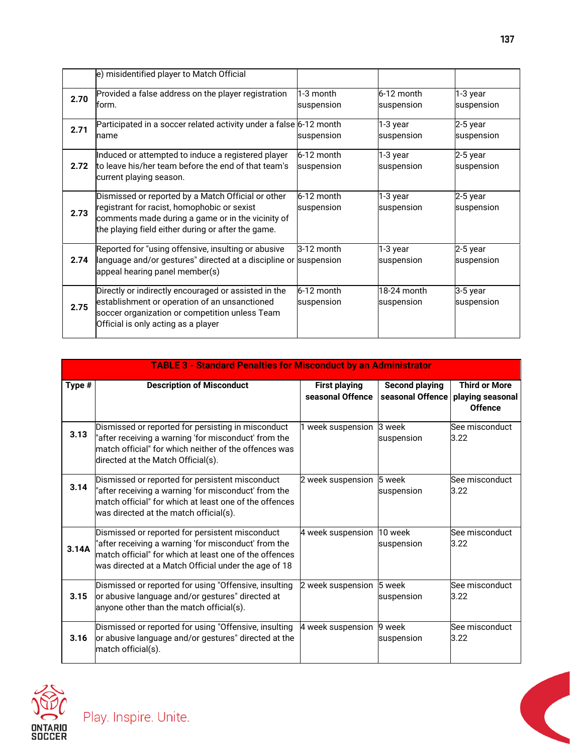|      | e) misidentified player to Match Official                                                                                                                                                                    |                            |                           |                          |
|------|--------------------------------------------------------------------------------------------------------------------------------------------------------------------------------------------------------------|----------------------------|---------------------------|--------------------------|
| 2.70 | Provided a false address on the player registration<br>form.                                                                                                                                                 | 1-3 month<br>suspension    | 6-12 month<br>suspension  | 1-3 year<br>suspension   |
| 2.71 | Participated in a soccer related activity under a false 6-12 month<br>name                                                                                                                                   | suspension                 | 1-3 year<br>suspension    | 2-5 year<br>suspension   |
| 2.72 | Induced or attempted to induce a registered player<br>to leave his/her team before the end of that team's<br>current playing season.                                                                         | 6-12 month<br>suspension   | 1-3 year<br>suspension    | $2-5$ year<br>suspension |
| 2.73 | Dismissed or reported by a Match Official or other<br>registrant for racist, homophobic or sexist<br>comments made during a game or in the vicinity of<br>the playing field either during or after the game. | $6-12$ month<br>suspension | 1-3 year<br>suspension    | 2-5 year<br>suspension   |
| 2.74 | Reported for "using offensive, insulting or abusive<br>language and/or gestures" directed at a discipline or suspension<br>appeal hearing panel member(s)                                                    | 3-12 month                 | 1-3 year<br>suspension    | 2-5 year<br>suspension   |
| 2.75 | Directly or indirectly encouraged or assisted in the<br>establishment or operation of an unsanctioned<br>soccer organization or competition unless Team<br>Official is only acting as a player               | 6-12 month<br>suspension   | 18-24 month<br>suspension | 3-5 year<br>suspension   |

|        | <b>TABLE 3 - Standard Penalties for Misconduct by an Administrator</b>                                                                                                                                                    |                                          |                                           |                                                            |  |
|--------|---------------------------------------------------------------------------------------------------------------------------------------------------------------------------------------------------------------------------|------------------------------------------|-------------------------------------------|------------------------------------------------------------|--|
| Type # | <b>Description of Misconduct</b>                                                                                                                                                                                          | <b>First playing</b><br>seasonal Offence | <b>Second playing</b><br>seasonal Offence | <b>Third or More</b><br>playing seasonal<br><b>Offence</b> |  |
| 3.13   | Dismissed or reported for persisting in misconduct<br>"after receiving a warning 'for misconduct' from the<br>match official" for which neither of the offences was<br>directed at the Match Official(s).                 | 1 week suspension 3 week                 | suspension                                | See misconduct<br>3.22                                     |  |
| 3.14   | Dismissed or reported for persistent misconduct<br>"after receiving a warning 'for misconduct' from the<br>match official" for which at least one of the offences<br>was directed at the match official(s).               | 2 week suspension                        | 5 week<br>suspension                      | See misconduct<br>3.22                                     |  |
| 3.14A  | Dismissed or reported for persistent misconduct<br>"after receiving a warning 'for misconduct' from the<br>match official" for which at least one of the offences<br>was directed at a Match Official under the age of 18 | 4 week suspension                        | 10 week<br>suspension                     | See misconduct<br>3.22                                     |  |
| 3.15   | Dismissed or reported for using "Offensive, insulting<br>or abusive language and/or gestures" directed at<br>anyone other than the match official(s).                                                                     | 2 week suspension                        | 5 week<br>suspension                      | See misconduct<br>3.22                                     |  |
| 3.16   | Dismissed or reported for using "Offensive, insulting<br>or abusive language and/or gestures" directed at the<br>match official(s).                                                                                       | 4 week suspension                        | 9 week<br>suspension                      | See misconduct<br>3.22                                     |  |

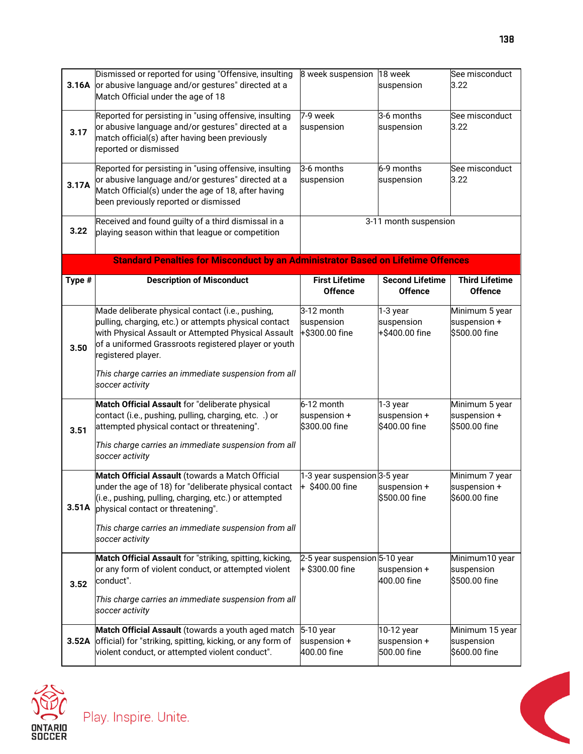| 3.16A  | Dismissed or reported for using "Offensive, insulting<br>or abusive language and/or gestures" directed at a<br>Match Official under the age of 18                                                                                              | 8 week suspension                                  | 18 week<br>suspension                     | See misconduct<br>3.22                          |
|--------|------------------------------------------------------------------------------------------------------------------------------------------------------------------------------------------------------------------------------------------------|----------------------------------------------------|-------------------------------------------|-------------------------------------------------|
| 3.17   | Reported for persisting in "using offensive, insulting<br>or abusive language and/or gestures" directed at a<br>match official(s) after having been previously<br>reported or dismissed                                                        | 7-9 week<br>suspension                             | 3-6 months<br>suspension                  | See misconduct<br>3.22                          |
| 3.17A  | Reported for persisting in "using offensive, insulting<br>or abusive language and/or gestures" directed at a<br>Match Official(s) under the age of 18, after having<br>been previously reported or dismissed                                   | 3-6 months<br>suspension                           | 6-9 months<br>suspension                  | See misconduct<br>3.22                          |
| 3.22   | Received and found guilty of a third dismissal in a<br>playing season within that league or competition                                                                                                                                        |                                                    | 3-11 month suspension                     |                                                 |
|        | <b>Standard Penalties for Misconduct by an Administrator Based on Lifetime Offences</b>                                                                                                                                                        |                                                    |                                           |                                                 |
| Type # | <b>Description of Misconduct</b>                                                                                                                                                                                                               | <b>First Lifetime</b><br><b>Offence</b>            | <b>Second Lifetime</b><br><b>Offence</b>  | <b>Third Lifetime</b><br><b>Offence</b>         |
| 3.50   | Made deliberate physical contact (i.e., pushing,<br>pulling, charging, etc.) or attempts physical contact<br>with Physical Assault or Attempted Physical Assault<br>of a uniformed Grassroots registered player or youth<br>registered player. | 3-12 month<br>suspension<br>+\$300.00 fine         | 1-3 year<br>suspension<br>+\$400.00 fine  | Minimum 5 year<br>suspension +<br>\$500.00 fine |
|        | This charge carries an immediate suspension from all<br>soccer activity                                                                                                                                                                        |                                                    |                                           |                                                 |
| 3.51   | Match Official Assault for "deliberate physical<br>contact (i.e., pushing, pulling, charging, etc. .) or<br>attempted physical contact or threatening".<br>This charge carries an immediate suspension from all<br>soccer activity             | 6-12 month<br>suspension +<br>\$300.00 fine        | 1-3 year<br>suspension +<br>\$400.00 fine | Minimum 5 year<br>suspension +<br>\$500.00 fine |
|        | Match Official Assault (towards a Match Official                                                                                                                                                                                               | 1-3 year suspension 3-5 year                       |                                           | Minimum 7 year                                  |
| 3.51A  | under the age of 18) for "deliberate physical contact<br>(i.e., pushing, pulling, charging, etc.) or attempted<br>physical contact or threatening".<br>This charge carries an immediate suspension from all                                    | $+$ \$400.00 fine                                  | suspension +<br>\$500.00 fine             | suspension +<br>\$600.00 fine                   |
|        | soccer activity                                                                                                                                                                                                                                |                                                    |                                           |                                                 |
| 3.52   | Match Official Assault for "striking, spitting, kicking,<br>or any form of violent conduct, or attempted violent<br>conduct".<br>This charge carries an immediate suspension from all                                                          | 2-5 year suspension 5-10 year<br>$+$ \$300.00 fine | suspension +<br>400.00 fine               | Minimum10 year<br>suspension<br>\$500.00 fine   |
|        | soccer activity                                                                                                                                                                                                                                |                                                    |                                           |                                                 |
| 3.52A  | Match Official Assault (towards a youth aged match<br>official) for "striking, spitting, kicking, or any form of<br>violent conduct, or attempted violent conduct".                                                                            | 5-10 year<br>suspension +<br>400.00 fine           | 10-12 year<br>suspension +<br>500.00 fine | Minimum 15 year<br>suspension<br>\$600.00 fine  |

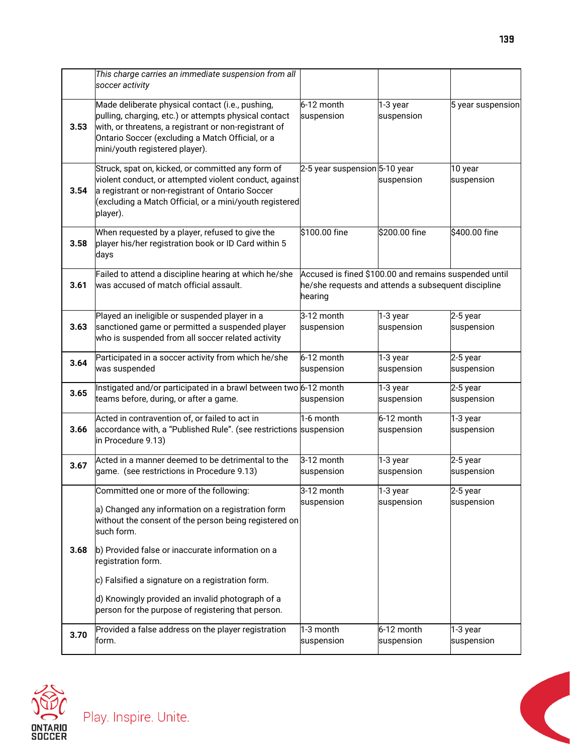|      | This charge carries an immediate suspension from all<br>soccer activity                                                                                                                                                                                  |                                                                                                                         |                          |                        |
|------|----------------------------------------------------------------------------------------------------------------------------------------------------------------------------------------------------------------------------------------------------------|-------------------------------------------------------------------------------------------------------------------------|--------------------------|------------------------|
| 3.53 | Made deliberate physical contact (i.e., pushing,<br>pulling, charging, etc.) or attempts physical contact<br>with, or threatens, a registrant or non-registrant of<br>Ontario Soccer (excluding a Match Official, or a<br>mini/youth registered player). | 6-12 month<br>suspension                                                                                                | 1-3 year<br>suspension   | 5 year suspension      |
| 3.54 | Struck, spat on, kicked, or committed any form of<br>violent conduct, or attempted violent conduct, against<br>a registrant or non-registrant of Ontario Soccer<br>(excluding a Match Official, or a mini/youth registered<br>player).                   | 2-5 year suspension 5-10 year                                                                                           | suspension               | 10 year<br>suspension  |
| 3.58 | When requested by a player, refused to give the<br>player his/her registration book or ID Card within 5<br>days                                                                                                                                          | \$100.00 fine                                                                                                           | \$200.00 fine            | \$400.00 fine          |
| 3.61 | Failed to attend a discipline hearing at which he/she<br>was accused of match official assault.                                                                                                                                                          | Accused is fined \$100.00 and remains suspended until<br>he/she requests and attends a subsequent discipline<br>hearing |                          |                        |
| 3.63 | Played an ineligible or suspended player in a<br>sanctioned game or permitted a suspended player<br>who is suspended from all soccer related activity                                                                                                    | 3-12 month<br>suspension                                                                                                | $1-3$ year<br>suspension | 2-5 year<br>suspension |
| 3.64 | Participated in a soccer activity from which he/she<br>was suspended                                                                                                                                                                                     | 6-12 month<br>suspension                                                                                                | 1-3 year<br>suspension   | 2-5 year<br>suspension |
| 3.65 | Instigated and/or participated in a brawl between two 6-12 month<br>teams before, during, or after a game.                                                                                                                                               | suspension                                                                                                              | 1-3 year<br>suspension   | 2-5 year<br>suspension |
| 3.66 | Acted in contravention of, or failed to act in<br>accordance with, a "Published Rule". (see restrictions suspension<br>in Procedure 9.13)                                                                                                                | 1-6 month                                                                                                               | 6-12 month<br>suspension | 1-3 year<br>suspension |
| 3.67 | Acted in a manner deemed to be detrimental to the<br>game. (see restrictions in Procedure 9.13)                                                                                                                                                          | 3-12 month<br>suspension                                                                                                | 1-3 year<br>suspension   | 2-5 year<br>suspension |
|      | Committed one or more of the following:<br>a) Changed any information on a registration form<br>without the consent of the person being registered on<br>such form.                                                                                      | 3-12 month<br>suspension                                                                                                | 1-3 year<br>suspension   | 2-5 year<br>suspension |
| 3.68 | b) Provided false or inaccurate information on a<br>registration form.<br>c) Falsified a signature on a registration form.                                                                                                                               |                                                                                                                         |                          |                        |
|      | d) Knowingly provided an invalid photograph of a<br>person for the purpose of registering that person.                                                                                                                                                   |                                                                                                                         |                          |                        |
| 3.70 | Provided a false address on the player registration<br>form.                                                                                                                                                                                             | 1-3 month<br>suspension                                                                                                 | 6-12 month<br>suspension | 1-3 year<br>suspension |



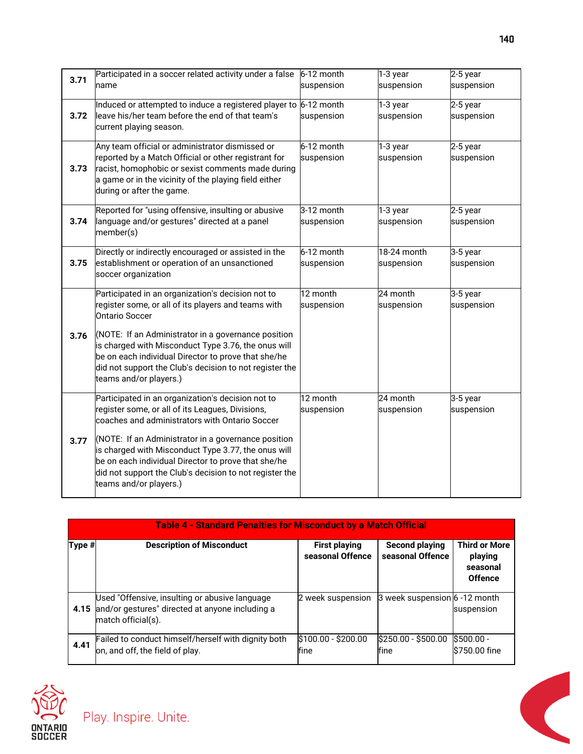| 3.71 | Participated in a soccer related activity under a false<br>name                                                                                                                                                                                        | 6-12 month<br>suspension | 1-3 year<br>suspension    | 2-5 year<br>suspension   |
|------|--------------------------------------------------------------------------------------------------------------------------------------------------------------------------------------------------------------------------------------------------------|--------------------------|---------------------------|--------------------------|
| 3.72 | Induced or attempted to induce a registered player to 6-12 month<br>leave his/her team before the end of that team's<br>current playing season.                                                                                                        | suspension               | 1-3 year<br>suspension    | $2-5$ year<br>suspension |
| 3.73 | Any team official or administrator dismissed or<br>reported by a Match Official or other registrant for<br>racist, homophobic or sexist comments made during<br>a game or in the vicinity of the playing field either<br>during or after the game.     | 6-12 month<br>suspension | 1-3 year<br>suspension    | $2-5$ year<br>suspension |
| 3.74 | Reported for "using offensive, insulting or abusive<br>language and/or gestures" directed at a panel<br>member(s)                                                                                                                                      | 3-12 month<br>suspension | 1-3 year<br>suspension    | 2-5 year<br>suspension   |
| 3.75 | Directly or indirectly encouraged or assisted in the<br>establishment or operation of an unsanctioned<br>soccer organization                                                                                                                           | 6-12 month<br>suspension | 18-24 month<br>suspension | 3-5 year<br>suspension   |
|      | Participated in an organization's decision not to<br>register some, or all of its players and teams with<br><b>Ontario Soccer</b>                                                                                                                      | 12 month<br>suspension   | 24 month<br>suspension    | 3-5 year<br>suspension   |
| 3.76 | (NOTE: If an Administrator in a governance position<br>is charged with Misconduct Type 3.76, the onus will<br>be on each individual Director to prove that she/he<br>did not support the Club's decision to not register the<br>teams and/or players.) |                          |                           |                          |
|      | Participated in an organization's decision not to<br>register some, or all of its Leagues, Divisions,<br>coaches and administrators with Ontario Soccer                                                                                                | 12 month<br>suspension   | 24 month<br>suspension    | 3-5 year<br>suspension   |
| 3.77 | (NOTE: If an Administrator in a governance position<br>is charged with Misconduct Type 3.77, the onus will<br>be on each individual Director to prove that she/he<br>did not support the Club's decision to not register the<br>teams and/or players.) |                          |                           |                          |

|        | <b>Table 4 - Standard Penalties for Misconduct by a Match Official</b>                                                       |                                          |                                           |                                                               |  |  |
|--------|------------------------------------------------------------------------------------------------------------------------------|------------------------------------------|-------------------------------------------|---------------------------------------------------------------|--|--|
| Type # | <b>Description of Misconduct</b>                                                                                             | <b>First playing</b><br>seasonal Offence | <b>Second playing</b><br>seasonal Offence | <b>Third or More</b><br>playing<br>seasonal<br><b>Offence</b> |  |  |
|        | Used "Offensive, insulting or abusive language<br>4.15 and/or gestures" directed at anyone including a<br>match official(s). | 2 week suspension                        | 3 week suspension 6 -12 month             | suspension                                                    |  |  |
| 4.41   | Failed to conduct himself/herself with dignity both<br>on, and off, the field of play.                                       | $$100.00 - $200.00$<br>fine              | $$250.00 - $500.00$<br>fine               | $S500.00 -$<br>\$750.00 fine                                  |  |  |



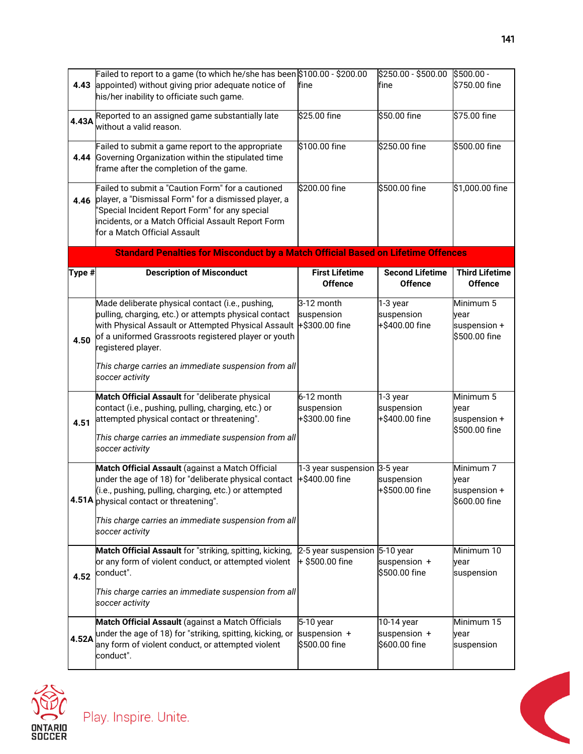| 4.43   | Failed to report to a game (to which he/she has been \$100.00 - \$200.00<br>appointed) without giving prior adequate notice of<br>his/her inability to officiate such game.                                                                                                                            | fine                                           | \$250.00 - \$500.00<br>fine                   | \$500.00 -<br>\$750.00 fine                          |
|--------|--------------------------------------------------------------------------------------------------------------------------------------------------------------------------------------------------------------------------------------------------------------------------------------------------------|------------------------------------------------|-----------------------------------------------|------------------------------------------------------|
| 4.43A  | Reported to an assigned game substantially late<br>without a valid reason.                                                                                                                                                                                                                             | \$25.00 fine                                   | \$50.00 fine                                  | \$75.00 fine                                         |
|        | Failed to submit a game report to the appropriate<br>4.44 Governing Organization within the stipulated time<br>frame after the completion of the game.                                                                                                                                                 | \$100.00 fine                                  | \$250.00 fine                                 | \$500.00 fine                                        |
| 4.46   | Failed to submit a "Caution Form" for a cautioned<br>player, a "Dismissal Form" for a dismissed player, a<br>'Special Incident Report Form" for any special<br>incidents, or a Match Official Assault Report Form<br>for a Match Official Assault                                                      | \$200.00 fine                                  | \$500.00 fine                                 | \$1,000.00 fine                                      |
|        | <b>Standard Penalties for Misconduct by a Match Official Based on Lifetime Offences</b>                                                                                                                                                                                                                |                                                |                                               |                                                      |
| Type # | <b>Description of Misconduct</b>                                                                                                                                                                                                                                                                       | <b>First Lifetime</b><br><b>Offence</b>        | <b>Second Lifetime</b><br><b>Offence</b>      | <b>Third Lifetime</b><br><b>Offence</b>              |
| 4.50   | Made deliberate physical contact (i.e., pushing,<br>pulling, charging, etc.) or attempts physical contact<br>with Physical Assault or Attempted Physical Assault<br>of a uniformed Grassroots registered player or youth<br>registered player.<br>This charge carries an immediate suspension from all | 3-12 month<br>suspension<br>+\$300.00 fine     | 1-3 year<br>suspension<br>+\$400.00 fine      | Minimum 5<br>vear<br>suspension +<br>\$500.00 fine   |
| 4.51   | soccer activity<br>Match Official Assault for "deliberate physical<br>contact (i.e., pushing, pulling, charging, etc.) or<br>attempted physical contact or threatening".<br>This charge carries an immediate suspension from all<br>soccer activity                                                    | 6-12 month<br>suspension<br>+\$300.00 fine     | 1-3 year<br>suspension<br>+\$400.00 fine      | Minimum 5<br>vear<br>suspension +<br>\$500.00 fine   |
|        | Match Official Assault (against a Match Official<br>under the age of 18) for "deliberate physical contact<br>(i.e., pushing, pulling, charging, etc.) or attempted<br>4.51A physical contact or threatening".<br>This charge carries an immediate suspension from all<br>soccer activity               | 1-3 year suspension 3-5 year<br>+\$400.00 fine | suspension<br>+\$500.00 fine                  | Minimum 7<br>vear<br>suspension $+$<br>\$600.00 fine |
| 4.52   | Match Official Assault for "striking, spitting, kicking, 2-5 year suspension 5-10 year<br>or any form of violent conduct, or attempted violent $+$ \$500.00 fine<br>conduct".<br>This charge carries an immediate suspension from all<br>soccer activity                                               |                                                | suspension +<br>\$500.00 fine                 | Minimum 10<br>year<br>suspension                     |
| 4.52A  | Match Official Assault (against a Match Officials<br>under the age of 18) for "striking, spitting, kicking, or<br>any form of violent conduct, or attempted violent<br>conduct".                                                                                                                       | 5-10 year<br>suspension +<br>\$500.00 fine     | 10-14 year<br>suspension $+$<br>\$600.00 fine | Minimum 15<br>year<br>suspension                     |



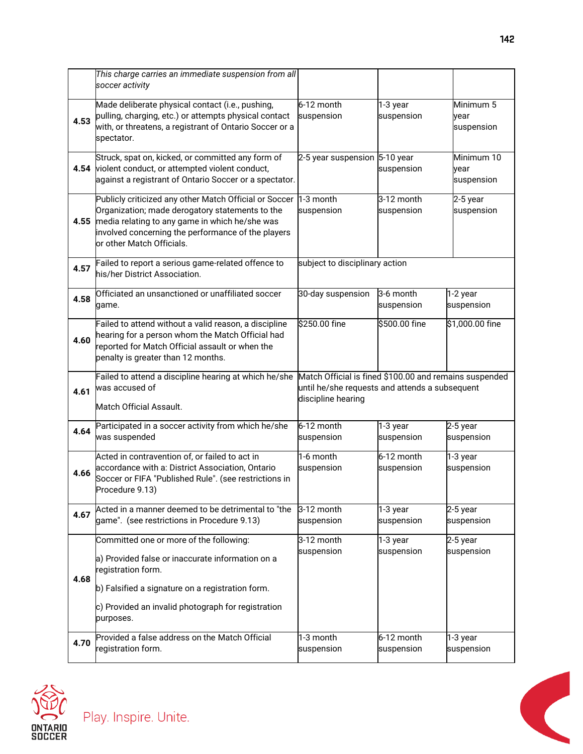|      | This charge carries an immediate suspension from all<br>soccer activity                                                                                                                                                                        |                                                                                                                                |                            |                                  |
|------|------------------------------------------------------------------------------------------------------------------------------------------------------------------------------------------------------------------------------------------------|--------------------------------------------------------------------------------------------------------------------------------|----------------------------|----------------------------------|
| 4.53 | Made deliberate physical contact (i.e., pushing,<br>pulling, charging, etc.) or attempts physical contact<br>with, or threatens, a registrant of Ontario Soccer or a<br>spectator.                                                             | 6-12 month<br>suspension                                                                                                       | 1-3 year<br>suspension     | Minimum 5<br>vear<br>suspension  |
| 4.54 | Struck, spat on, kicked, or committed any form of<br>violent conduct, or attempted violent conduct,<br>against a registrant of Ontario Soccer or a spectator.                                                                                  | 2-5 year suspension 5-10 year                                                                                                  | suspension                 | Minimum 10<br>vear<br>suspension |
| 4.55 | Publicly criticized any other Match Official or Soccer<br>Organization; made derogatory statements to the<br>media relating to any game in which he/she was<br>involved concerning the performance of the players<br>or other Match Officials. | 1-3 month<br>suspension                                                                                                        | 3-12 month<br>suspension   | $2-5$ year<br>suspension         |
| 4.57 | Failed to report a serious game-related offence to<br>his/her District Association.                                                                                                                                                            | subject to disciplinary action                                                                                                 |                            |                                  |
| 4.58 | Officiated an unsanctioned or unaffiliated soccer<br>game.                                                                                                                                                                                     | 30-day suspension                                                                                                              | 3-6 month<br>suspension    | 1-2 year<br>suspension           |
| 4.60 | Failed to attend without a valid reason, a discipline<br>hearing for a person whom the Match Official had<br>reported for Match Official assault or when the<br>penalty is greater than 12 months.                                             | \$250.00 fine                                                                                                                  | \$500.00 fine              | \$1,000.00 fine                  |
| 4.61 | Failed to attend a discipline hearing at which he/she<br>was accused of<br>Match Official Assault.                                                                                                                                             | Match Official is fined \$100.00 and remains suspended<br>until he/she requests and attends a subsequent<br>discipline hearing |                            |                                  |
| 4.64 |                                                                                                                                                                                                                                                |                                                                                                                                |                            |                                  |
|      | Participated in a soccer activity from which he/she<br>was suspended                                                                                                                                                                           | 6-12 month<br>suspension                                                                                                       | 1-3 year<br>suspension     | 2-5 year<br>suspension           |
| 4.66 | Acted in contravention of, or failed to act in<br>accordance with a: District Association, Ontario<br>Soccer or FIFA "Published Rule". (see restrictions in<br>Procedure 9.13)                                                                 | 1-6 month<br>suspension                                                                                                        | $6-12$ month<br>suspension | 1-3 year<br>suspension           |
| 4.67 | Acted in a manner deemed to be detrimental to "the<br>game". (see restrictions in Procedure 9.13)                                                                                                                                              | 3-12 month<br>suspension                                                                                                       | 1-3 year<br>suspension     | $2-5$ year<br>suspension         |
| 4.68 | Committed one or more of the following:<br>a) Provided false or inaccurate information on a<br>registration form.<br>b) Falsified a signature on a registration form.                                                                          | 3-12 month<br>suspension                                                                                                       | 1-3 year<br>suspension     | 2-5 year<br>suspension           |
|      | c) Provided an invalid photograph for registration<br>purposes.                                                                                                                                                                                |                                                                                                                                |                            |                                  |



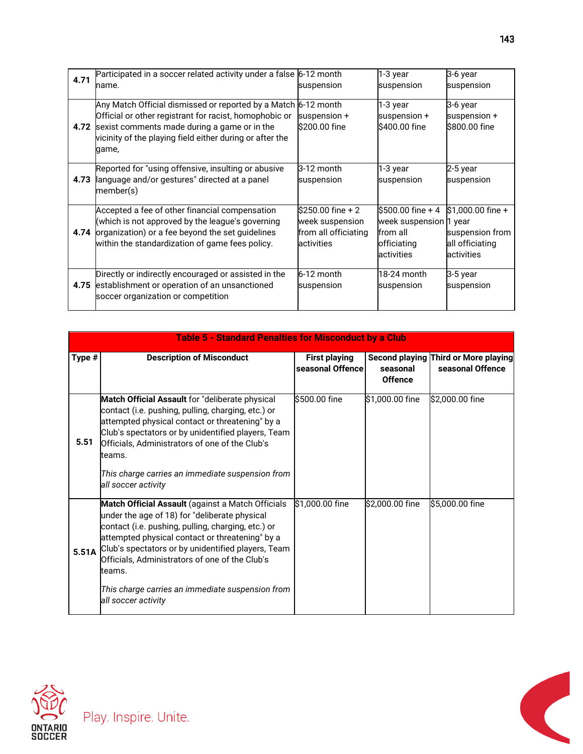| 4.71 | Participated in a soccer related activity under a false 6-12 month<br>name.                                                                                                                                                        | suspension                                                                  | 1-3 year<br>suspension                                                                 | 3-6 year<br>suspension                                                  |
|------|------------------------------------------------------------------------------------------------------------------------------------------------------------------------------------------------------------------------------------|-----------------------------------------------------------------------------|----------------------------------------------------------------------------------------|-------------------------------------------------------------------------|
| 4.72 | Any Match Official dismissed or reported by a Match<br>Official or other registrant for racist, homophobic or<br>sexist comments made during a game or in the<br>vicinity of the playing field either during or after the<br>game, | $6-12$ month<br>suspension $+$<br>\$200.00 fine                             | 1-3 year<br>suspension +<br>\$400.00 fine                                              | 3-6 year<br>suspension +<br>l\$800.00 fine                              |
| 4.73 | Reported for "using offensive, insulting or abusive<br>language and/or gestures" directed at a panel<br>member(s)                                                                                                                  | 3-12 month<br>suspension                                                    | 1-3 year<br>suspension                                                                 | 2-5 year<br>suspension                                                  |
| 4.74 | Accepted a fee of other financial compensation<br>(which is not approved by the league's governing<br>organization) or a fee beyond the set guidelines<br>within the standardization of game fees policy.                          | $$250.00$ fine + 2<br>week suspension<br>from all officiating<br>activities | l\$500.00 fine + 4<br>week suspension 1 year<br>from all<br>officiating<br>lactivities | $$1,000.00$ fine +<br>suspension from<br>all officiating<br>lactivities |
| 4.75 | Directly or indirectly encouraged or assisted in the<br>establishment or operation of an unsanctioned<br>soccer organization or competition                                                                                        | 6-12 month<br>suspension                                                    | 18-24 month<br>suspension                                                              | 3-5 year<br>suspension                                                  |

|        | <b>Table 5 - Standard Penalties for Misconduct by a Club</b>                                                                                                                                                                                                                                                                                                                                             |                                          |                            |                                                          |  |  |
|--------|----------------------------------------------------------------------------------------------------------------------------------------------------------------------------------------------------------------------------------------------------------------------------------------------------------------------------------------------------------------------------------------------------------|------------------------------------------|----------------------------|----------------------------------------------------------|--|--|
| Type # | <b>Description of Misconduct</b>                                                                                                                                                                                                                                                                                                                                                                         | <b>First playing</b><br>seasonal Offence | seasonal<br><b>Offence</b> | Second playing Third or More playing<br>seasonal Offence |  |  |
| 5.51   | <b>Match Official Assault</b> for "deliberate physical<br>contact (i.e. pushing, pulling, charging, etc.) or<br>attempted physical contact or threatening" by a<br>Club's spectators or by unidentified players, Team<br>Officials, Administrators of one of the Club's<br>teams.<br>This charge carries an immediate suspension from<br>all soccer activity                                             | l\$500.00 fine                           | \$1,000.00 fine            | \$2,000.00 fine                                          |  |  |
| 5.51A  | Match Official Assault (against a Match Officials<br>under the age of 18) for "deliberate physical<br>contact (i.e. pushing, pulling, charging, etc.) or<br>attempted physical contact or threatening" by a<br>Club's spectators or by unidentified players, Team<br>Officials, Administrators of one of the Club's<br>teams.<br>This charge carries an immediate suspension from<br>all soccer activity | \$1,000.00 fine                          | \$2,000.00 fine            | \$5,000.00 fine                                          |  |  |



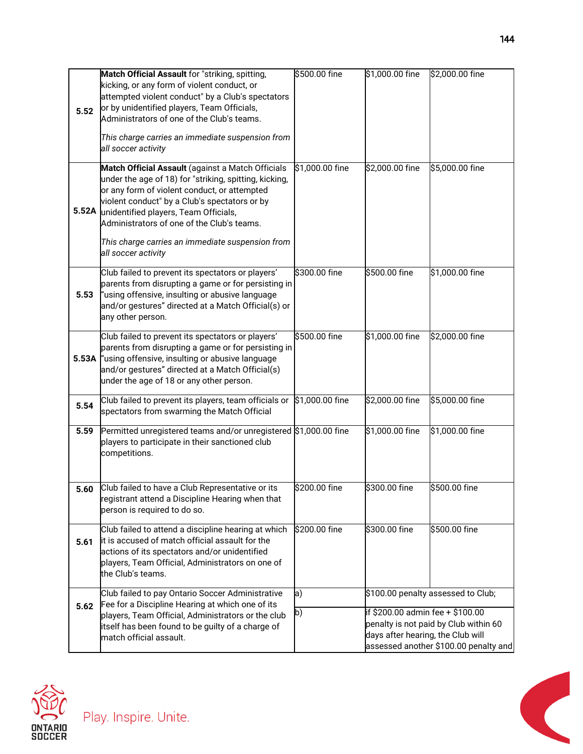| 5.52  | Match Official Assault for "striking, spitting,<br>kicking, or any form of violent conduct, or<br>attempted violent conduct" by a Club's spectators<br>or by unidentified players, Team Officials,<br>Administrators of one of the Club's teams.<br>This charge carries an immediate suspension from<br>all soccer activity                                                    | \$500.00 fine   | \$1,000.00 fine                                                       | \$2,000.00 fine                                                                |
|-------|--------------------------------------------------------------------------------------------------------------------------------------------------------------------------------------------------------------------------------------------------------------------------------------------------------------------------------------------------------------------------------|-----------------|-----------------------------------------------------------------------|--------------------------------------------------------------------------------|
| 5.52A | Match Official Assault (against a Match Officials<br>under the age of 18) for "striking, spitting, kicking,<br>or any form of violent conduct, or attempted<br>violent conduct" by a Club's spectators or by<br>unidentified players, Team Officials,<br>Administrators of one of the Club's teams.<br>This charge carries an immediate suspension from<br>all soccer activity | \$1,000.00 fine | \$2,000.00 fine                                                       | \$5,000.00 fine                                                                |
| 5.53  | Club failed to prevent its spectators or players'<br>parents from disrupting a game or for persisting in<br>"using offensive, insulting or abusive language<br>and/or gestures" directed at a Match Official(s) or<br>any other person.                                                                                                                                        | \$300.00 fine   | \$500.00 fine                                                         | \$1,000.00 fine                                                                |
| 5.53A | Club failed to prevent its spectators or players'<br>parents from disrupting a game or for persisting in<br>"using offensive, insulting or abusive language<br>and/or gestures" directed at a Match Official(s)<br>under the age of 18 or any other person.                                                                                                                    | \$500.00 fine   | \$1,000.00 fine                                                       | \$2,000.00 fine                                                                |
| 5.54  | Club failed to prevent its players, team officials or<br>spectators from swarming the Match Official                                                                                                                                                                                                                                                                           | \$1,000.00 fine | \$2,000.00 fine                                                       | \$5,000.00 fine                                                                |
| 5.59  | Permitted unregistered teams and/or unregistered \$1,000.00 fine<br>players to participate in their sanctioned club<br>competitions.                                                                                                                                                                                                                                           |                 | \$1,000.00 fine                                                       | \$1,000.00 fine                                                                |
| 5.60  | Club failed to have a Club Representative or its<br>registrant attend a Discipline Hearing when that<br>person is required to do so.                                                                                                                                                                                                                                           | \$200.00 fine   | \$300.00 fine                                                         | \$500.00 fine                                                                  |
| 5.61  | Club failed to attend a discipline hearing at which<br>it is accused of match official assault for the<br>actions of its spectators and/or unidentified<br>players, Team Official, Administrators on one of<br>the Club's teams.                                                                                                                                               | \$200.00 fine   | \$300.00 fine                                                         | \$500.00 fine                                                                  |
|       | Club failed to pay Ontario Soccer Administrative<br>Fee for a Discipline Hearing at which one of its                                                                                                                                                                                                                                                                           | a)              |                                                                       | \$100.00 penalty assessed to Club;                                             |
| 5.62  | players, Team Official, Administrators or the club<br>itself has been found to be guilty of a charge of<br>match official assault.                                                                                                                                                                                                                                             | $\mathsf{b}$    | if \$200.00 admin fee + \$100.00<br>days after hearing, the Club will | penalty is not paid by Club within 60<br>assessed another \$100.00 penalty and |



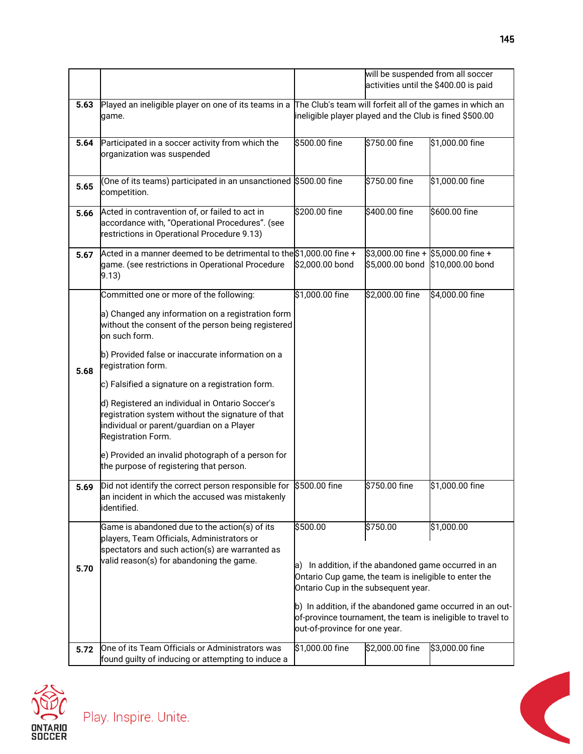|      |                                                                                                                                                                                                                                                                                                                                                                                                                                                                                                                                                                              | will be suspended from all soccer<br>activities until the \$400.00 is paid                                                                                                                                                                                                                                                                                  |                 |                                                                           |
|------|------------------------------------------------------------------------------------------------------------------------------------------------------------------------------------------------------------------------------------------------------------------------------------------------------------------------------------------------------------------------------------------------------------------------------------------------------------------------------------------------------------------------------------------------------------------------------|-------------------------------------------------------------------------------------------------------------------------------------------------------------------------------------------------------------------------------------------------------------------------------------------------------------------------------------------------------------|-----------------|---------------------------------------------------------------------------|
| 5.63 | Played an ineligible player on one of its teams in a The Club's team will forfeit all of the games in which an<br>game.                                                                                                                                                                                                                                                                                                                                                                                                                                                      | ineligible player played and the Club is fined \$500.00                                                                                                                                                                                                                                                                                                     |                 |                                                                           |
| 5.64 | Participated in a soccer activity from which the<br>organization was suspended                                                                                                                                                                                                                                                                                                                                                                                                                                                                                               | \$500.00 fine                                                                                                                                                                                                                                                                                                                                               | \$750.00 fine   | \$1,000.00 fine                                                           |
| 5.65 | (One of its teams) participated in an unsanctioned S500.00 fine<br>competition.                                                                                                                                                                                                                                                                                                                                                                                                                                                                                              |                                                                                                                                                                                                                                                                                                                                                             | \$750.00 fine   | \$1,000.00 fine                                                           |
| 5.66 | Acted in contravention of, or failed to act in<br>accordance with, "Operational Procedures". (see<br>restrictions in Operational Procedure 9.13)                                                                                                                                                                                                                                                                                                                                                                                                                             | \$200.00 fine                                                                                                                                                                                                                                                                                                                                               | \$400.00 fine   | \$600.00 fine                                                             |
| 5.67 | Acted in a manner deemed to be detrimental to the \$1,000.00 fine +<br>game. (see restrictions in Operational Procedure<br>9.13)                                                                                                                                                                                                                                                                                                                                                                                                                                             | \$2,000.00 bond                                                                                                                                                                                                                                                                                                                                             |                 | $$3,000.00$ fine + $$5,000.00$ fine +<br>\$5,000.00 bond \$10,000.00 bond |
| 5.68 | Committed one or more of the following:<br>a) Changed any information on a registration form<br>without the consent of the person being registered<br>on such form.<br>b) Provided false or inaccurate information on a<br>registration form.<br>c) Falsified a signature on a registration form.<br>d) Registered an individual in Ontario Soccer's<br>registration system without the signature of that<br>individual or parent/guardian on a Player<br>Registration Form.<br>e) Provided an invalid photograph of a person for<br>the purpose of registering that person. | \$1,000.00 fine                                                                                                                                                                                                                                                                                                                                             | \$2,000.00 fine | \$4,000.00 fine                                                           |
| 5.69 | Did not identify the correct person responsible for \$500.00 fine<br>an incident in which the accused was mistakenly<br>identified.                                                                                                                                                                                                                                                                                                                                                                                                                                          |                                                                                                                                                                                                                                                                                                                                                             | \$750.00 fine   | \$1,000.00 fine                                                           |
| 5.70 | Game is abandoned due to the action(s) of its<br>players, Team Officials, Administrators or<br>spectators and such action(s) are warranted as<br>valid reason(s) for abandoning the game.                                                                                                                                                                                                                                                                                                                                                                                    | \$500.00<br>\$750.00<br>\$1,000.00<br>In addition, if the abandoned game occurred in an<br>la)<br>Ontario Cup game, the team is ineligible to enter the<br>Ontario Cup in the subsequent year.<br>b) In addition, if the abandoned game occurred in an out-<br>of-province tournament, the team is ineligible to travel to<br>out-of-province for one year. |                 |                                                                           |
| 5.72 | One of its Team Officials or Administrators was<br>found quilty of inducing or attempting to induce a                                                                                                                                                                                                                                                                                                                                                                                                                                                                        | \$1,000.00 fine                                                                                                                                                                                                                                                                                                                                             | \$2,000.00 fine | \$3,000.00 fine                                                           |

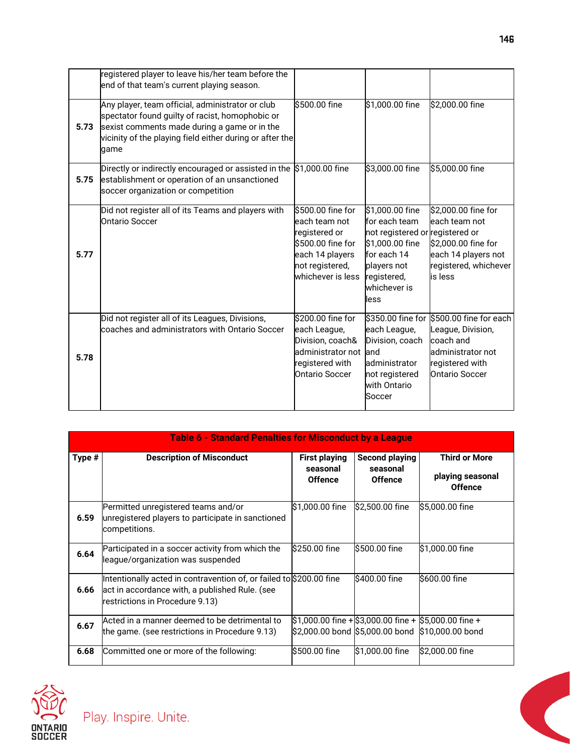|      | registered player to leave his/her team before the<br>end of that team's current playing season.                                                                                                                        |                                                                                                                                      |                                                                                                                                                             |                                                                                                                           |
|------|-------------------------------------------------------------------------------------------------------------------------------------------------------------------------------------------------------------------------|--------------------------------------------------------------------------------------------------------------------------------------|-------------------------------------------------------------------------------------------------------------------------------------------------------------|---------------------------------------------------------------------------------------------------------------------------|
| 5.73 | Any player, team official, administrator or club<br>spectator found guilty of racist, homophobic or<br>sexist comments made during a game or in the<br>vicinity of the playing field either during or after the<br>qame | S500.00 fine                                                                                                                         | \$1,000.00 fine                                                                                                                                             | \$2,000.00 fine                                                                                                           |
| 5.75 | Directly or indirectly encouraged or assisted in the<br>establishment or operation of an unsanctioned<br>soccer organization or competition                                                                             | \$1,000.00 fine                                                                                                                      | \$3,000.00 fine                                                                                                                                             | \$5,000.00 fine                                                                                                           |
| 5.77 | Did not register all of its Teams and players with<br><b>Ontario Soccer</b>                                                                                                                                             | \$500.00 fine for<br>leach team not<br>registered or<br>\$500.00 fine for<br>each 14 players<br>not registered,<br>whichever is less | \$1,000.00 fine<br>for each team<br>not registered or registered or<br>\$1,000.00 fine<br>for each 14<br>players not<br>registered,<br>whichever is<br>less | \$2,000.00 fine for<br>each team not<br>\$2,000.00 fine for<br>each 14 players not<br>registered, whichever<br>is less    |
| 5.78 | Did not register all of its Leagues, Divisions,<br>coaches and administrators with Ontario Soccer                                                                                                                       | \$200.00 fine for<br>each League,<br>Division, coach&<br>administrator not<br>registered with<br><b>Ontario Soccer</b>               | \$350.00 fine for<br>each League,<br>Division, coach<br>and<br>administrator<br>not registered<br>with Ontario<br>Soccer                                    | \$500.00 fine for each<br>League, Division,<br>coach and<br>administrator not<br>registered with<br><b>Ontario Soccer</b> |

| <b>Table 6 - Standard Penalties for Misconduct by a League</b> |                                                                                                                                                          |                                                    |                                                       |                                                            |
|----------------------------------------------------------------|----------------------------------------------------------------------------------------------------------------------------------------------------------|----------------------------------------------------|-------------------------------------------------------|------------------------------------------------------------|
| Type #                                                         | <b>Description of Misconduct</b>                                                                                                                         | <b>First playing</b><br>seasonal<br><b>Offence</b> | <b>Second playing</b><br>seasonal<br><b>Offence</b>   | <b>Third or More</b><br>playing seasonal<br><b>Offence</b> |
| 6.59                                                           | Permitted unregistered teams and/or<br>unregistered players to participate in sanctioned<br>competitions.                                                | \$1,000.00 fine                                    | \$2,500.00 fine                                       | S5,000.00 fine                                             |
| 6.64                                                           | Participated in a soccer activity from which the<br>league/organization was suspended                                                                    | l\$250.00 fine                                     | S500.00 fine                                          | \$1,000.00 fine                                            |
| 6.66                                                           | Intentionally acted in contravention of, or failed to \$200.00 fine<br>act in accordance with, a published Rule. (see<br>restrictions in Procedure 9.13) |                                                    | \$400.00 fine                                         | \$600.00 fine                                              |
| 6.67                                                           | Acted in a manner deemed to be detrimental to<br>the game. (see restrictions in Procedure 9.13)                                                          |                                                    | \$1,000.00 fine + \$3,000.00 fine + \$5,000.00 fine + | \$2,000.00 bond \$5,000.00 bond \$10,000.00 bond           |
| 6.68                                                           | Committed one or more of the following:                                                                                                                  | l\$500.00 fine                                     | \$1,000.00 fine                                       | \$2,000.00 fine                                            |



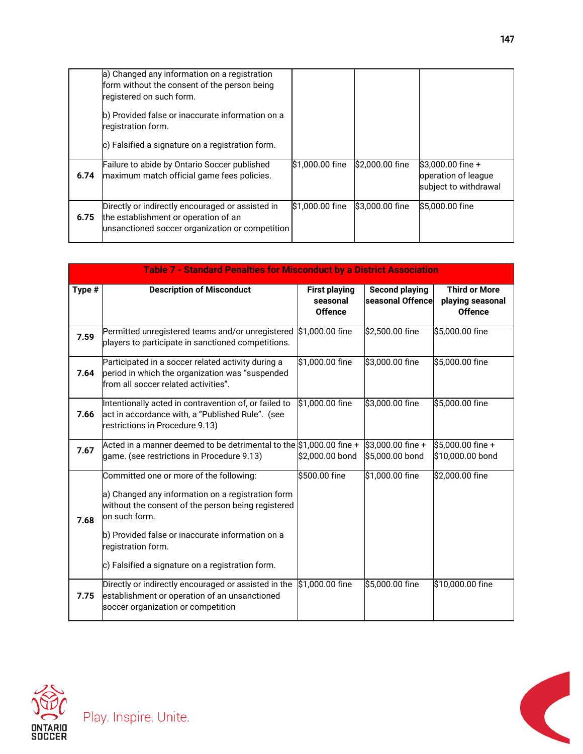|      | a) Changed any information on a registration<br>form without the consent of the person being<br>registered on such form.                    |                 |                  |                                                                    |
|------|---------------------------------------------------------------------------------------------------------------------------------------------|-----------------|------------------|--------------------------------------------------------------------|
|      | b) Provided false or inaccurate information on a<br>registration form.<br>c) Falsified a signature on a registration form.                  |                 |                  |                                                                    |
|      |                                                                                                                                             |                 |                  |                                                                    |
| 6.74 | Failure to abide by Ontario Soccer published<br>maximum match official game fees policies.                                                  | \$1,000.00 fine | $$2,000.00$ fine | $$3,000.00$ fine +<br>operation of league<br>subject to withdrawal |
| 6.75 | Directly or indirectly encouraged or assisted in<br>the establishment or operation of an<br>unsanctioned soccer organization or competition | \$1,000.00 fine | \$3,000.00 fine  | \$5,000.00 fine                                                    |

| <b>Table 7 - Standard Penalties for Misconduct by a District Association</b> |                                                                                                                                                                                                                                                                                                   |                                                    |                                           |                                                            |
|------------------------------------------------------------------------------|---------------------------------------------------------------------------------------------------------------------------------------------------------------------------------------------------------------------------------------------------------------------------------------------------|----------------------------------------------------|-------------------------------------------|------------------------------------------------------------|
| Type #                                                                       | <b>Description of Misconduct</b>                                                                                                                                                                                                                                                                  | <b>First playing</b><br>seasonal<br><b>Offence</b> | <b>Second playing</b><br>seasonal Offence | <b>Third or More</b><br>playing seasonal<br><b>Offence</b> |
| 7.59                                                                         | Permitted unregistered teams and/or unregistered<br>players to participate in sanctioned competitions.                                                                                                                                                                                            | \$1,000.00 fine                                    | \$2,500.00 fine                           | \$5,000.00 fine                                            |
| 7.64                                                                         | Participated in a soccer related activity during a<br>period in which the organization was "suspended<br>from all soccer related activities".                                                                                                                                                     | \$1,000.00 fine                                    | \$3,000.00 fine                           | \$5,000.00 fine                                            |
| 7.66                                                                         | Intentionally acted in contravention of, or failed to<br>act in accordance with, a "Published Rule". (see<br>restrictions in Procedure 9.13)                                                                                                                                                      | \$1,000.00 fine                                    | \$3,000.00 fine                           | \$5,000.00 fine                                            |
| 7.67                                                                         | Acted in a manner deemed to be detrimental to the \$1,000.00 fine +<br>game. (see restrictions in Procedure 9.13)                                                                                                                                                                                 | \$2,000.00 bond                                    | \$3,000.00 fine +<br>\$5,000.00 bond      | \$5,000.00 fine +<br>\$10,000.00 bond                      |
| 7.68                                                                         | Committed one or more of the following:<br>a) Changed any information on a registration form<br>without the consent of the person being registered<br>on such form.<br>b) Provided false or inaccurate information on a<br>registration form.<br>c) Falsified a signature on a registration form. | \$500.00 fine                                      | \$1,000.00 fine                           | \$2,000.00 fine                                            |
| 7.75                                                                         | Directly or indirectly encouraged or assisted in the<br>establishment or operation of an unsanctioned<br>soccer organization or competition                                                                                                                                                       | \$1,000.00 fine                                    | \$5,000.00 fine                           | \$10,000.00 fine                                           |

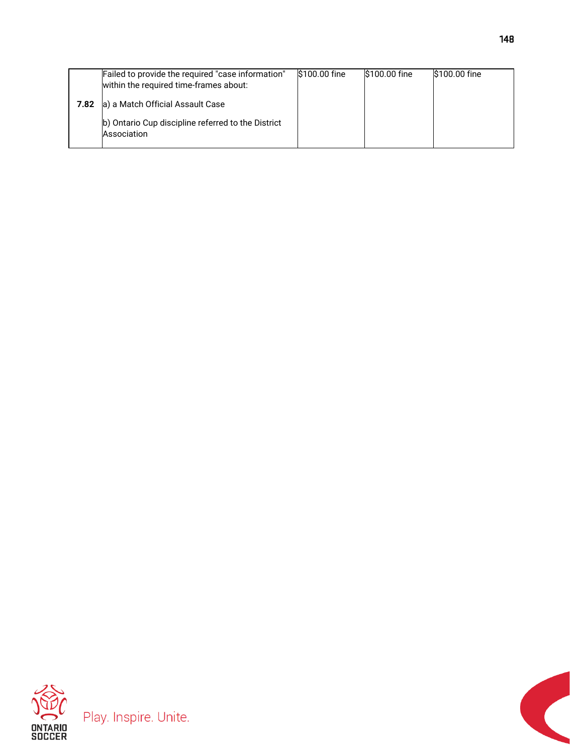|      | Failed to provide the required "case information"<br>within the required time-frames about: | S100.00 fine | S100.00 fine | S100.00 fine |
|------|---------------------------------------------------------------------------------------------|--------------|--------------|--------------|
| 7.82 | a) a Match Official Assault Case                                                            |              |              |              |
|      | b) Ontario Cup discipline referred to the District<br>Association                           |              |              |              |



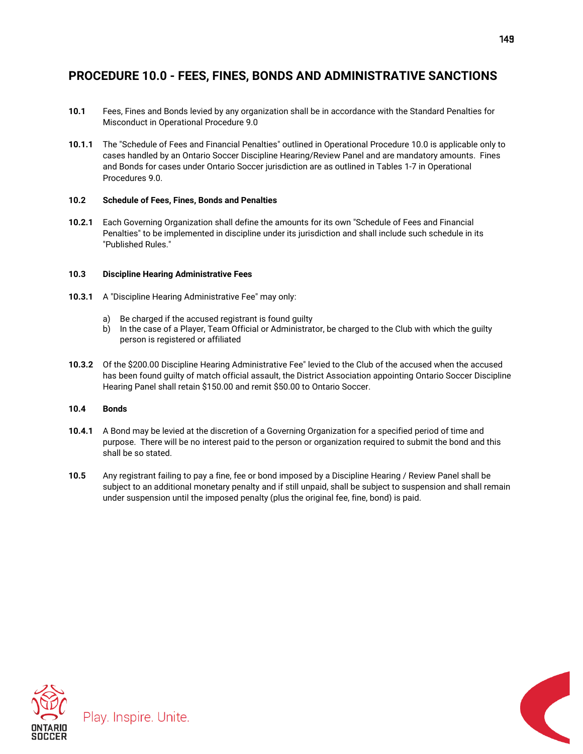## **PROCEDURE 10.0 - FEES, FINES, BONDS AND ADMINISTRATIVE SANCTIONS**

- **10.1** Fees, Fines and Bonds levied by any organization shall be in accordance with the Standard Penalties for Misconduct in Operational Procedure 9.0
- **10.1.1** The "Schedule of Fees and Financial Penalties" outlined in Operational Procedure 10.0 is applicable only to cases handled by an Ontario Soccer Discipline Hearing/Review Panel and are mandatory amounts. Fines and Bonds for cases under Ontario Soccer jurisdiction are as outlined in Tables 1-7 in Operational Procedures 9.0.

### **10.2 Schedule of Fees, Fines, Bonds and Penalties**

**10.2.1** Each Governing Organization shall define the amounts for its own "Schedule of Fees and Financial Penalties" to be implemented in discipline under its jurisdiction and shall include such schedule in its "Published Rules."

### **10.3 Discipline Hearing Administrative Fees**

- **10.3.1** A "Discipline Hearing Administrative Fee" may only:
	- a) Be charged if the accused registrant is found guilty
	- b) In the case of a Player, Team Official or Administrator, be charged to the Club with which the guilty person is registered or affiliated
- **10.3.2** Of the \$200.00 Discipline Hearing Administrative Fee" levied to the Club of the accused when the accused has been found guilty of match official assault, the District Association appointing Ontario Soccer Discipline Hearing Panel shall retain \$150.00 and remit \$50.00 to Ontario Soccer.

## **10.4 Bonds**

- **10.4.1** A Bond may be levied at the discretion of a Governing Organization for a specified period of time and purpose. There will be no interest paid to the person or organization required to submit the bond and this shall be so stated.
- **10.5** Any registrant failing to pay a fine, fee or bond imposed by a Discipline Hearing / Review Panel shall be subject to an additional monetary penalty and if still unpaid, shall be subject to suspension and shall remain under suspension until the imposed penalty (plus the original fee, fine, bond) is paid.



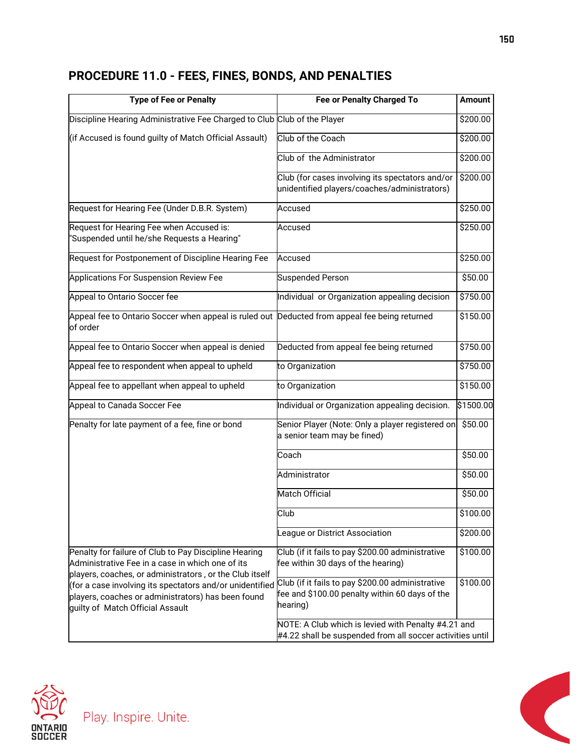# **PROCEDURE 11.0 - FEES, FINES, BONDS, AND PENALTIES**

| <b>Type of Fee or Penalty</b>                                                                                                                                        | <b>Fee or Penalty Charged To</b>                                                                                 | <b>Amount</b> |
|----------------------------------------------------------------------------------------------------------------------------------------------------------------------|------------------------------------------------------------------------------------------------------------------|---------------|
| Discipline Hearing Administrative Fee Charged to Club Club of the Player                                                                                             |                                                                                                                  | \$200.00      |
| (if Accused is found guilty of Match Official Assault)                                                                                                               | Club of the Coach                                                                                                | \$200.00      |
|                                                                                                                                                                      | Club of the Administrator                                                                                        | \$200.00      |
|                                                                                                                                                                      | Club (for cases involving its spectators and/or<br>unidentified players/coaches/administrators)                  | \$200.00      |
| Request for Hearing Fee (Under D.B.R. System)                                                                                                                        | Accused                                                                                                          | \$250.00      |
| Request for Hearing Fee when Accused is:<br>"Suspended until he/she Requests a Hearing"                                                                              | Accused                                                                                                          | \$250.00      |
| Request for Postponement of Discipline Hearing Fee                                                                                                                   | Accused                                                                                                          | \$250.00      |
| Applications For Suspension Review Fee                                                                                                                               | <b>Suspended Person</b>                                                                                          | \$50.00       |
| Appeal to Ontario Soccer fee                                                                                                                                         | Individual or Organization appealing decision                                                                    | \$750.00      |
| Appeal fee to Ontario Soccer when appeal is ruled out Deducted from appeal fee being returned<br>of order                                                            |                                                                                                                  | \$150.00      |
| Appeal fee to Ontario Soccer when appeal is denied                                                                                                                   | Deducted from appeal fee being returned                                                                          | \$750.00      |
| Appeal fee to respondent when appeal to upheld                                                                                                                       | to Organization                                                                                                  | \$750.00      |
| Appeal fee to appellant when appeal to upheld                                                                                                                        | to Organization                                                                                                  | \$150.00      |
| Appeal to Canada Soccer Fee                                                                                                                                          | Individual or Organization appealing decision.                                                                   | \$1500.00     |
| Penalty for late payment of a fee, fine or bond                                                                                                                      | Senior Player (Note: Only a player registered on<br>a senior team may be fined)                                  | \$50.00       |
|                                                                                                                                                                      | Coach                                                                                                            | \$50.00       |
|                                                                                                                                                                      | Administrator                                                                                                    | \$50.00       |
|                                                                                                                                                                      | <b>Match Official</b>                                                                                            | \$50.00       |
|                                                                                                                                                                      | Club                                                                                                             | \$100.00      |
|                                                                                                                                                                      | League or District Association                                                                                   | \$200.00      |
| Penalty for failure of Club to Pay Discipline Hearing<br>Administrative Fee in a case in which one of its<br>players, coaches, or administrators, or the Club itself | Club (if it fails to pay \$200.00 administrative<br>fee within 30 days of the hearing)                           | \$100.00      |
| (for a case involving its spectators and/or unidentified<br>players, coaches or administrators) has been found<br>guilty of Match Official Assault                   | Club (if it fails to pay \$200.00 administrative<br>fee and \$100.00 penalty within 60 days of the<br>hearing)   | \$100.00      |
|                                                                                                                                                                      | NOTE: A Club which is levied with Penalty #4.21 and<br>#4.22 shall be suspended from all soccer activities until |               |



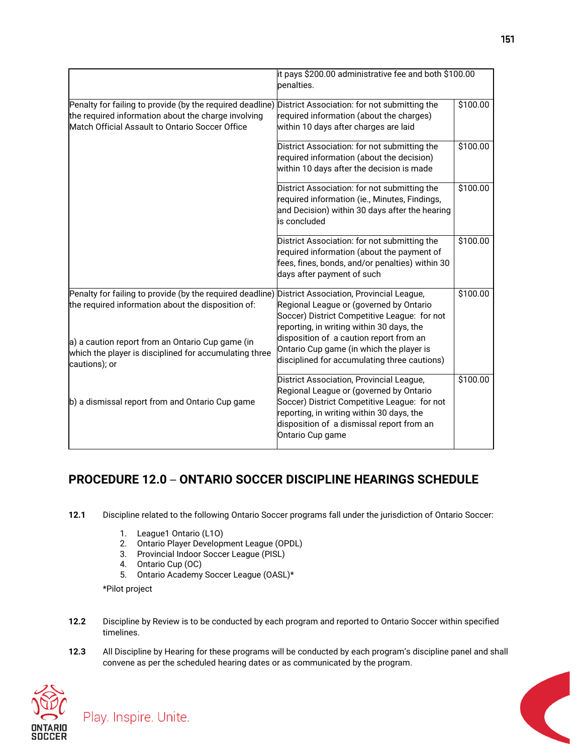|                                                                                                                                                                     | it pays \$200.00 administrative fee and both \$100.00<br>penalties.                                                                                                              |          |  |
|---------------------------------------------------------------------------------------------------------------------------------------------------------------------|----------------------------------------------------------------------------------------------------------------------------------------------------------------------------------|----------|--|
| Penalty for failing to provide (by the required deadline)<br>the required information about the charge involving<br>Match Official Assault to Ontario Soccer Office | District Association: for not submitting the<br>required information (about the charges)<br>within 10 days after charges are laid                                                | \$100.00 |  |
|                                                                                                                                                                     | District Association: for not submitting the<br>required information (about the decision)<br>within 10 days after the decision is made                                           | \$100.00 |  |
|                                                                                                                                                                     | District Association: for not submitting the<br>required information (ie., Minutes, Findings,<br>and Decision) within 30 days after the hearing<br>is concluded                  | \$100.00 |  |
|                                                                                                                                                                     | District Association: for not submitting the<br>required information (about the payment of<br>fees, fines, bonds, and/or penalties) within 30<br>days after payment of such      | \$100.00 |  |
| Penalty for failing to provide (by the required deadline)<br>the required information about the disposition of:                                                     | District Association, Provincial League,<br>Regional League or (governed by Ontario<br>Soccer) District Competitive League: for not<br>reporting, in writing within 30 days, the | \$100.00 |  |
| a) a caution report from an Ontario Cup game (in<br>which the player is disciplined for accumulating three<br>cautions); or                                         | disposition of a caution report from an<br>Ontario Cup game (in which the player is<br>disciplined for accumulating three cautions)                                              |          |  |
| b) a dismissal report from and Ontario Cup game                                                                                                                     | District Association, Provincial League,<br>Regional League or (governed by Ontario<br>Soccer) District Competitive League: for not<br>reporting, in writing within 30 days, the | \$100.00 |  |
|                                                                                                                                                                     | disposition of a dismissal report from an<br>Ontario Cup game                                                                                                                    |          |  |

## **PROCEDURE 12.0** – **ONTARIO SOCCER DISCIPLINE HEARINGS SCHEDULE**

- **12.1** Discipline related to the following Ontario Soccer programs fall under the jurisdiction of Ontario Soccer:
	- 1. League1 Ontario (L1O)
	- 2. Ontario Player Development League (OPDL)
	- 3. Provincial Indoor Soccer League (PISL)
	- 4. Ontario Cup (OC)
	- 5. Ontario Academy Soccer League (OASL)\*

\*Pilot project

- **12.2** Discipline by Review is to be conducted by each program and reported to Ontario Soccer within specified timelines.
- **12.3** All Discipline by Hearing for these programs will be conducted by each program's discipline panel and shall convene as per the scheduled hearing dates or as communicated by the program.